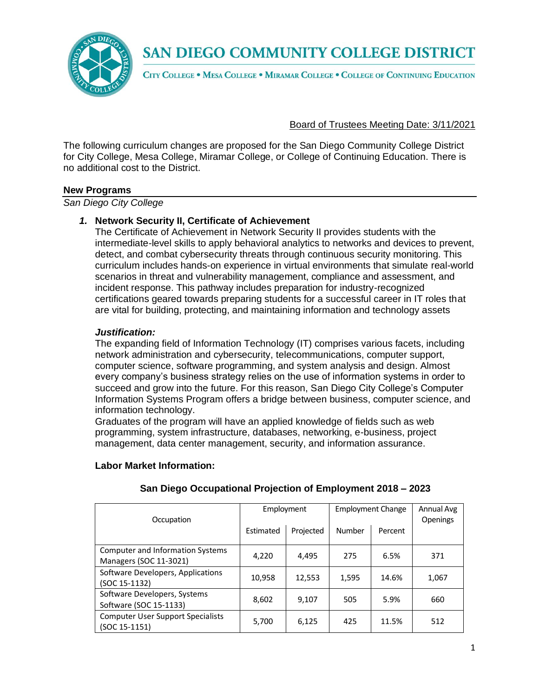

CITY COLLEGE . MESA COLLEGE . MIRAMAR COLLEGE . COLLEGE OF CONTINUING EDUCATION

Board of Trustees Meeting Date: 3/11/2021

The following curriculum changes are proposed for the San Diego Community College District for City College, Mesa College, Miramar College, or College of Continuing Education. There is no additional cost to the District.

#### **New Programs**

*San Diego City College*

#### *1.* **Network Security II, Certificate of Achievement**

The Certificate of Achievement in Network Security II provides students with the intermediate-level skills to apply behavioral analytics to networks and devices to prevent, detect, and combat cybersecurity threats through continuous security monitoring. This curriculum includes hands-on experience in virtual environments that simulate real-world scenarios in threat and vulnerability management, compliance and assessment, and incident response. This pathway includes preparation for industry-recognized certifications geared towards preparing students for a successful career in IT roles that are vital for building, protecting, and maintaining information and technology assets

#### *Justification:*

The expanding field of Information Technology (IT) comprises various facets, including network administration and cybersecurity, telecommunications, computer support, computer science, software programming, and system analysis and design. Almost every company's business strategy relies on the use of information systems in order to succeed and grow into the future. For this reason, San Diego City College's Computer Information Systems Program offers a bridge between business, computer science, and information technology.

Graduates of the program will have an applied knowledge of fields such as web programming, system infrastructure, databases, networking, e-business, project management, data center management, security, and information assurance.

#### **Labor Market Information:**

|                                          |           | Employment |        | <b>Employment Change</b> |                 |
|------------------------------------------|-----------|------------|--------|--------------------------|-----------------|
| Occupation                               |           |            |        |                          | <b>Openings</b> |
|                                          | Estimated | Projected  | Number | Percent                  |                 |
|                                          |           |            |        |                          |                 |
| Computer and Information Systems         |           |            |        |                          |                 |
| Managers (SOC 11-3021)                   | 4,220     | 4,495      | 275    | 6.5%                     | 371             |
| Software Developers, Applications        |           |            |        |                          |                 |
| (SOC 15-1132)                            | 10,958    | 12,553     | 1,595  | 14.6%                    | 1,067           |
| Software Developers, Systems             |           |            |        |                          |                 |
| Software (SOC 15-1133)                   | 8,602     | 9.107      | 505    | 5.9%                     | 660             |
| <b>Computer User Support Specialists</b> |           |            |        |                          |                 |
| (SOC 15-1151)                            | 5,700     | 6,125      | 425    | 11.5%                    | 512             |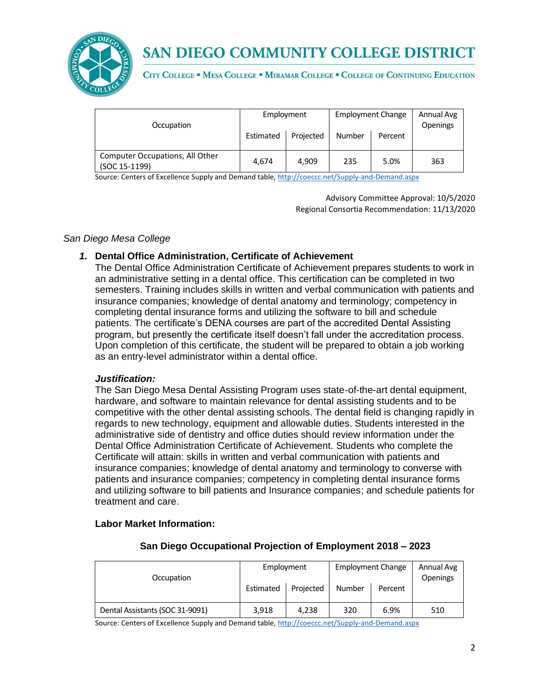

CITY COLLEGE . MESA COLLEGE . MIRAMAR COLLEGE . COLLEGE OF CONTINUING EDUCATION

| Occupation                                       | Employment |           | <b>Employment Change</b> |         | Annual Avg<br>Openings |
|--------------------------------------------------|------------|-----------|--------------------------|---------|------------------------|
|                                                  | Estimated  | Projected | Number                   | Percent |                        |
| Computer Occupations, All Other<br>(SOC 15-1199) | 4.674      | 4.909     | 235                      | 5.0%    | 363                    |

Source: Centers of Excellence Supply and Demand table, <http://coeccc.net/Supply-and-Demand.aspx>

Advisory Committee Approval: 10/5/2020 Regional Consortia Recommendation: 11/13/2020

#### *San Diego Mesa College*

#### *1.* **Dental Office Administration, Certificate of Achievement**

The Dental Office Administration Certificate of Achievement prepares students to work in an administrative setting in a dental office. This certification can be completed in two semesters. Training includes skills in written and verbal communication with patients and insurance companies; knowledge of dental anatomy and terminology; competency in completing dental insurance forms and utilizing the software to bill and schedule patients. The certificate's DENA courses are part of the accredited Dental Assisting program, but presently the certificate itself doesn't fall under the accreditation process. Upon completion of this certificate, the student will be prepared to obtain a job working as an entry-level administrator within a dental office.

#### *Justification:*

The San Diego Mesa Dental Assisting Program uses state-of-the-art dental equipment, hardware, and software to maintain relevance for dental assisting students and to be competitive with the other dental assisting schools. The dental field is changing rapidly in regards to new technology, equipment and allowable duties. Students interested in the administrative side of dentistry and office duties should review information under the Dental Office Administration Certificate of Achievement. Students who complete the Certificate will attain: skills in written and verbal communication with patients and insurance companies; knowledge of dental anatomy and terminology to converse with patients and insurance companies; competency in completing dental insurance forms and utilizing software to bill patients and Insurance companies; and schedule patients for treatment and care.

#### **Labor Market Information:**

| Occupation                      | Employment |           | <b>Employment Change</b> |         | Annual Avg<br><b>Openings</b> |
|---------------------------------|------------|-----------|--------------------------|---------|-------------------------------|
|                                 | Estimated  | Projected | Number                   | Percent |                               |
| Dental Assistants (SOC 31-9091) | 3.918      | 4.238     | 320                      | 6.9%    | 510                           |

#### **San Diego Occupational Projection of Employment 2018 – 2023**

Source: Centers of Excellence Supply and Demand table, <http://coeccc.net/Supply-and-Demand.aspx>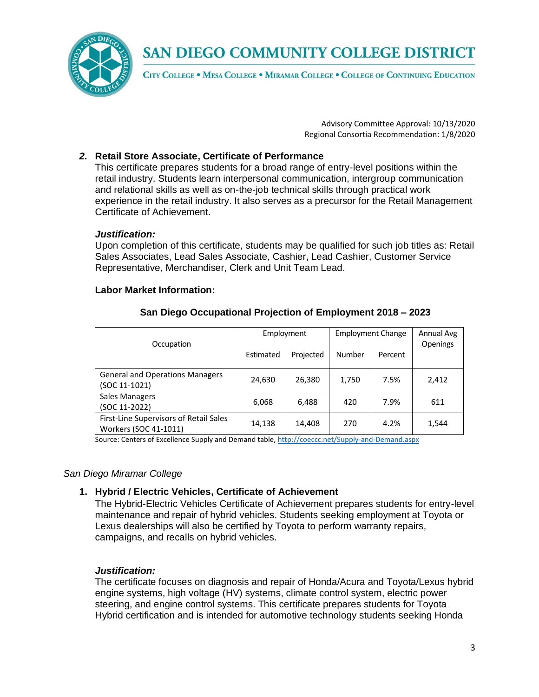

CITY COLLEGE . MESA COLLEGE . MIRAMAR COLLEGE . COLLEGE OF CONTINUING EDUCATION

Advisory Committee Approval: 10/13/2020 Regional Consortia Recommendation: 1/8/2020

## *2.* **Retail Store Associate, Certificate of Performance**

This certificate prepares students for a broad range of entry-level positions within the retail industry. Students learn interpersonal communication, intergroup communication and relational skills as well as on-the-job technical skills through practical work experience in the retail industry. It also serves as a precursor for the Retail Management Certificate of Achievement.

#### *Justification:*

Upon completion of this certificate, students may be qualified for such job titles as: Retail Sales Associates, Lead Sales Associate, Cashier, Lead Cashier, Customer Service Representative, Merchandiser, Clerk and Unit Team Lead.

#### **Labor Market Information:**

| Occupation                                                      |           | Employment |        | <b>Employment Change</b> |       |
|-----------------------------------------------------------------|-----------|------------|--------|--------------------------|-------|
|                                                                 | Estimated | Projected  | Number | Percent                  |       |
| <b>General and Operations Managers</b><br>(SOC 11-1021)         | 24,630    | 26,380     | 1,750  | 7.5%                     | 2,412 |
| <b>Sales Managers</b><br>(SOC 11-2022)                          | 6,068     | 6,488      | 420    | 7.9%                     | 611   |
| First-Line Supervisors of Retail Sales<br>Workers (SOC 41-1011) | 14,138    | 14,408     | 270    | 4.2%                     | 1,544 |

#### **San Diego Occupational Projection of Employment 2018 – 2023**

Source: Centers of Excellence Supply and Demand table, <http://coeccc.net/Supply-and-Demand.aspx>

#### *San Diego Miramar College*

#### **1. Hybrid / Electric Vehicles, Certificate of Achievement**

The Hybrid-Electric Vehicles Certificate of Achievement prepares students for entry-level maintenance and repair of hybrid vehicles. Students seeking employment at Toyota or Lexus dealerships will also be certified by Toyota to perform warranty repairs, campaigns, and recalls on hybrid vehicles.

#### *Justification:*

The certificate focuses on diagnosis and repair of Honda/Acura and Toyota/Lexus hybrid engine systems, high voltage (HV) systems, climate control system, electric power steering, and engine control systems. This certificate prepares students for Toyota Hybrid certification and is intended for automotive technology students seeking Honda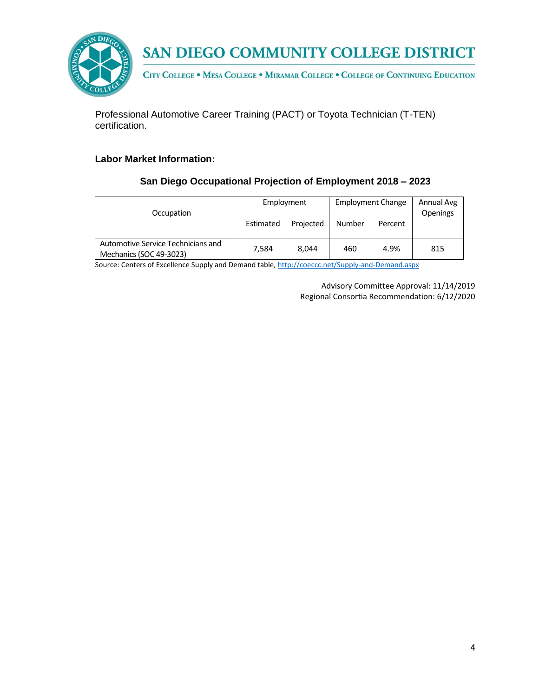



CITY COLLEGE . MESA COLLEGE . MIRAMAR COLLEGE . COLLEGE OF CONTINUING EDUCATION

Professional Automotive Career Training (PACT) or Toyota Technician (T-TEN) certification.

#### **Labor Market Information:**

## **San Diego Occupational Projection of Employment 2018 – 2023**

| Occupation                                                    | Employment<br>Estimated | Projected | <b>Number</b> | <b>Employment Change</b><br>Percent | Annual Avg<br><b>Openings</b> |
|---------------------------------------------------------------|-------------------------|-----------|---------------|-------------------------------------|-------------------------------|
| Automotive Service Technicians and<br>Mechanics (SOC 49-3023) | 7.584                   | 8.044     | 460           | 4.9%                                | 815                           |

Source: Centers of Excellence Supply and Demand table, <http://coeccc.net/Supply-and-Demand.aspx>

Advisory Committee Approval: 11/14/2019 Regional Consortia Recommendation: 6/12/2020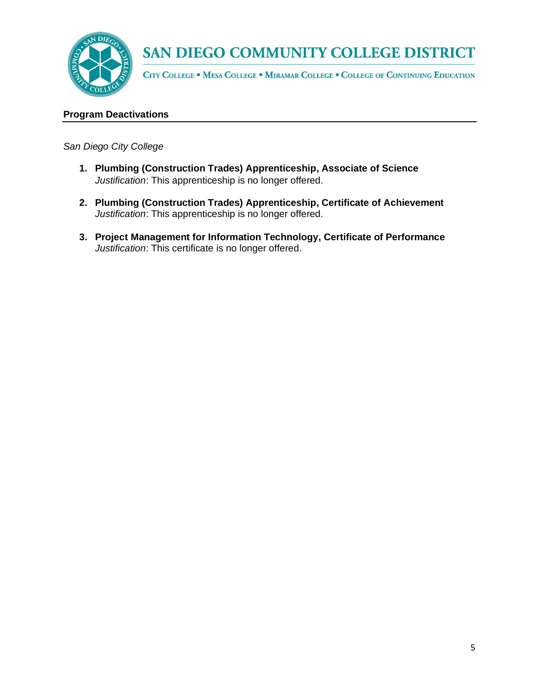

CITY COLLEGE . MESA COLLEGE . MIRAMAR COLLEGE . COLLEGE OF CONTINUING EDUCATION

#### **Program Deactivations**

*San Diego City College*

- **1. Plumbing (Construction Trades) Apprenticeship, Associate of Science** *Justification*: This apprenticeship is no longer offered.
- **2. Plumbing (Construction Trades) Apprenticeship, Certificate of Achievement** *Justification*: This apprenticeship is no longer offered.
- **3. Project Management for Information Technology, Certificate of Performance** *Justification*: This certificate is no longer offered.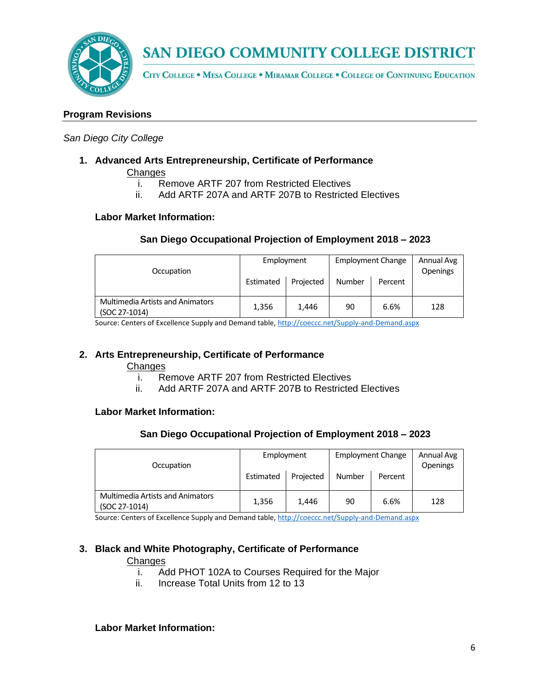

CITY COLLEGE . MESA COLLEGE . MIRAMAR COLLEGE . COLLEGE OF CONTINUING EDUCATION

#### **Program Revisions**

#### *San Diego City College*

**1. Advanced Arts Entrepreneurship, Certificate of Performance**

**Changes** 

- i. Remove ARTF 207 from Restricted Electives
- ii. Add ARTF 207A and ARTF 207B to Restricted Electives

#### **Labor Market Information:**

## **San Diego Occupational Projection of Employment 2018 – 2023**

| Occupation                                               | Employment<br>Estimated | Projected | <b>Employment Change</b><br>Number | Percent | Annual Avg<br><b>Openings</b> |
|----------------------------------------------------------|-------------------------|-----------|------------------------------------|---------|-------------------------------|
| <b>Multimedia Artists and Animators</b><br>(SOC 27-1014) | 1,356                   | 1.446     | 90                                 | 6.6%    | 128                           |

Source: Centers of Excellence Supply and Demand table, <http://coeccc.net/Supply-and-Demand.aspx>

#### **2. Arts Entrepreneurship, Certificate of Performance**

#### **Changes**

- i. Remove ARTF 207 from Restricted Electives
- ii. Add ARTF 207A and ARTF 207B to Restricted Electives

#### **Labor Market Information:**

#### **San Diego Occupational Projection of Employment 2018 – 2023**

| Occupation                                               | Employment<br>Estimated | Projected | <b>Employment Change</b><br>Number | Percent | Annual Avg<br><b>Openings</b> |
|----------------------------------------------------------|-------------------------|-----------|------------------------------------|---------|-------------------------------|
| <b>Multimedia Artists and Animators</b><br>(SOC 27-1014) | 1,356                   | 1,446     | 90                                 | 6.6%    | 128                           |

Source: Centers of Excellence Supply and Demand table, <http://coeccc.net/Supply-and-Demand.aspx>

#### **3. Black and White Photography, Certificate of Performance**

#### **Changes**

- i. Add PHOT 102A to Courses Required for the Major
- ii. Increase Total Units from 12 to 13

#### **Labor Market Information:**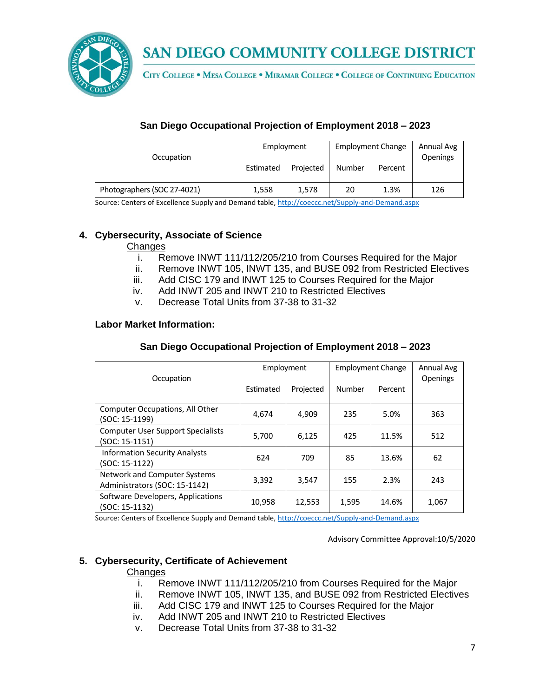

CITY COLLEGE . MESA COLLEGE . MIRAMAR COLLEGE . COLLEGE OF CONTINUING EDUCATION

## **San Diego Occupational Projection of Employment 2018 – 2023**

| Occupation                  | <b>Employment Change</b><br>Employment<br>Projected<br><b>Number</b><br>Estimated |       | Percent | Annual Avg<br>Openings |     |
|-----------------------------|-----------------------------------------------------------------------------------|-------|---------|------------------------|-----|
| Photographers (SOC 27-4021) | 1,558                                                                             | 1,578 | 20      | 1.3%                   | 126 |

Source: Centers of Excellence Supply and Demand table, <http://coeccc.net/Supply-and-Demand.aspx>

## **4. Cybersecurity, Associate of Science**

## **Changes**

- i. Remove INWT 111/112/205/210 from Courses Required for the Major
- ii. Remove INWT 105, INWT 135, and BUSE 092 from Restricted Electives
- iii. Add CISC 179 and INWT 125 to Courses Required for the Major
- iv. Add INWT 205 and INWT 210 to Restricted Electives
- v. Decrease Total Units from 37-38 to 31-32

## **Labor Market Information:**

# **San Diego Occupational Projection of Employment 2018 – 2023**

| Occupation                                                    | Employment |           | <b>Employment Change</b> |         | Annual Avg<br><b>Openings</b> |
|---------------------------------------------------------------|------------|-----------|--------------------------|---------|-------------------------------|
|                                                               | Estimated  | Projected | Number                   | Percent |                               |
| Computer Occupations, All Other<br>(SOC: 15-1199)             | 4,674      | 4,909     | 235                      | 5.0%    | 363                           |
| <b>Computer User Support Specialists</b><br>(SOC: 15-1151)    | 5,700      | 6,125     | 425                      | 11.5%   | 512                           |
| <b>Information Security Analysts</b><br>(SOC: 15-1122)        | 624        | 709       | 85                       | 13.6%   | 62                            |
| Network and Computer Systems<br>Administrators (SOC: 15-1142) | 3,392      | 3,547     | 155                      | 2.3%    | 243                           |
| Software Developers, Applications<br>(SOC: 15-1132)           | 10,958     | 12,553    | 1,595                    | 14.6%   | 1,067                         |

Source: Centers of Excellence Supply and Demand table, <http://coeccc.net/Supply-and-Demand.aspx>

Advisory Committee Approval:10/5/2020

## **5. Cybersecurity, Certificate of Achievement**

#### **Changes**

- i. Remove INWT 111/112/205/210 from Courses Required for the Major
- ii. Remove INWT 105, INWT 135, and BUSE 092 from Restricted Electives
- iii. Add CISC 179 and INWT 125 to Courses Required for the Major
- iv. Add INWT 205 and INWT 210 to Restricted Electives
- v. Decrease Total Units from 37-38 to 31-32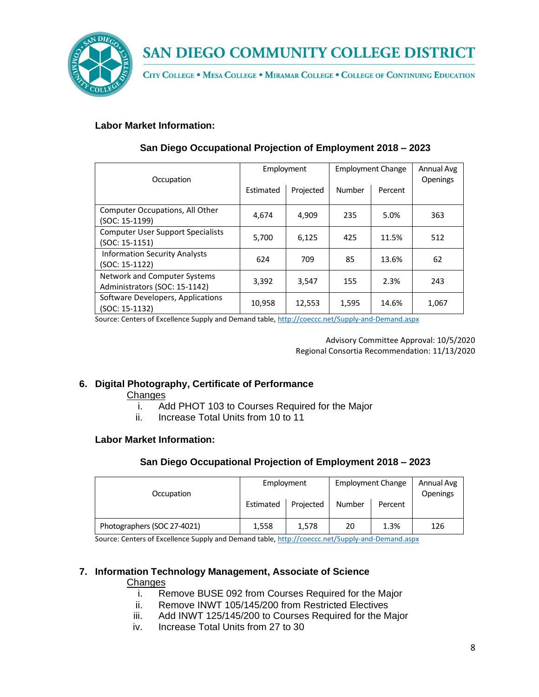

CITY COLLEGE . MESA COLLEGE . MIRAMAR COLLEGE . COLLEGE OF CONTINUING EDUCATION

## **Labor Market Information:**

| Occupation                                                    | Employment |           | <b>Employment Change</b> |         | Annual Avg<br><b>Openings</b> |
|---------------------------------------------------------------|------------|-----------|--------------------------|---------|-------------------------------|
|                                                               | Estimated  | Projected | Number                   | Percent |                               |
| Computer Occupations, All Other<br>(SOC: 15-1199)             | 4,674      | 4,909     | 235                      | 5.0%    | 363                           |
| <b>Computer User Support Specialists</b><br>(SOC: 15-1151)    | 5,700      | 6,125     | 425                      | 11.5%   | 512                           |
| <b>Information Security Analysts</b><br>(SOC: 15-1122)        | 624        | 709       | 85                       | 13.6%   | 62                            |
| Network and Computer Systems<br>Administrators (SOC: 15-1142) | 3,392      | 3.547     | 155                      | 2.3%    | 243                           |
| Software Developers, Applications<br>(SOC: 15-1132)           | 10,958     | 12,553    | 1,595                    | 14.6%   | 1,067                         |

## **San Diego Occupational Projection of Employment 2018 – 2023**

Source: Centers of Excellence Supply and Demand table, <http://coeccc.net/Supply-and-Demand.aspx>

Advisory Committee Approval: 10/5/2020 Regional Consortia Recommendation: 11/13/2020

## **6. Digital Photography, Certificate of Performance**

**Changes** 

- i. Add PHOT 103 to Courses Required for the Major
- ii. Increase Total Units from 10 to 11

#### **Labor Market Information:**

## **San Diego Occupational Projection of Employment 2018 – 2023**

| Occupation                  | Employment |           | <b>Employment Change</b> |         | Annual Avg<br><b>Openings</b> |
|-----------------------------|------------|-----------|--------------------------|---------|-------------------------------|
|                             | Estimated  | Projected | <b>Number</b>            | Percent |                               |
| Photographers (SOC 27-4021) | 1,558      | 1.578     | 20                       | 1.3%    | 126                           |

Source: Centers of Excellence Supply and Demand table, <http://coeccc.net/Supply-and-Demand.aspx>

## **7. Information Technology Management, Associate of Science**

#### **Changes**

- i. Remove BUSE 092 from Courses Required for the Major
- ii. Remove INWT 105/145/200 from Restricted Electives
- iii. Add INWT 125/145/200 to Courses Required for the Major
- iv. Increase Total Units from 27 to 30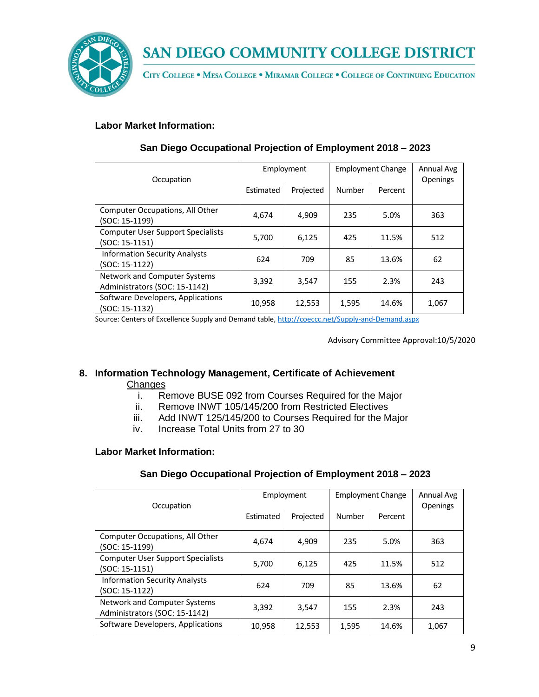

CITY COLLEGE . MESA COLLEGE . MIRAMAR COLLEGE . COLLEGE OF CONTINUING EDUCATION

## **Labor Market Information:**

| Occupation                                                    | Employment |           | <b>Employment Change</b> |         | Annual Avg<br><b>Openings</b> |
|---------------------------------------------------------------|------------|-----------|--------------------------|---------|-------------------------------|
|                                                               | Estimated  | Projected | Number                   | Percent |                               |
| Computer Occupations, All Other<br>(SOC: 15-1199)             | 4,674      | 4,909     | 235                      | 5.0%    | 363                           |
| <b>Computer User Support Specialists</b><br>(SOC: 15-1151)    | 5,700      | 6,125     | 425                      | 11.5%   | 512                           |
| <b>Information Security Analysts</b><br>(SOC: 15-1122)        | 624        | 709       | 85                       | 13.6%   | 62                            |
| Network and Computer Systems<br>Administrators (SOC: 15-1142) | 3,392      | 3.547     | 155                      | 2.3%    | 243                           |
| Software Developers, Applications<br>(SOC: 15-1132)           | 10,958     | 12,553    | 1,595                    | 14.6%   | 1,067                         |

## **San Diego Occupational Projection of Employment 2018 – 2023**

Source: Centers of Excellence Supply and Demand table, <http://coeccc.net/Supply-and-Demand.aspx>

Advisory Committee Approval:10/5/2020

## **8. Information Technology Management, Certificate of Achievement**

## **Changes**

- i. Remove BUSE 092 from Courses Required for the Major
- ii. Remove INWT 105/145/200 from Restricted Electives
- iii. Add INWT 125/145/200 to Courses Required for the Major
- iv. Increase Total Units from 27 to 30

## **Labor Market Information:**

| Occupation                                                    | Employment |           | <b>Employment Change</b> |         | Annual Avg<br>Openings |
|---------------------------------------------------------------|------------|-----------|--------------------------|---------|------------------------|
|                                                               | Estimated  | Projected | Number                   | Percent |                        |
| Computer Occupations, All Other<br>(SOC: 15-1199)             | 4.674      | 4,909     | 235                      | 5.0%    | 363                    |
| <b>Computer User Support Specialists</b><br>(SOC: 15-1151)    | 5,700      | 6,125     | 425                      | 11.5%   | 512                    |
| <b>Information Security Analysts</b><br>(SOC: 15-1122)        | 624        | 709       | 85                       | 13.6%   | 62                     |
| Network and Computer Systems<br>Administrators (SOC: 15-1142) | 3,392      | 3,547     | 155                      | 2.3%    | 243                    |
| Software Developers, Applications                             | 10,958     | 12,553    | 1,595                    | 14.6%   | 1,067                  |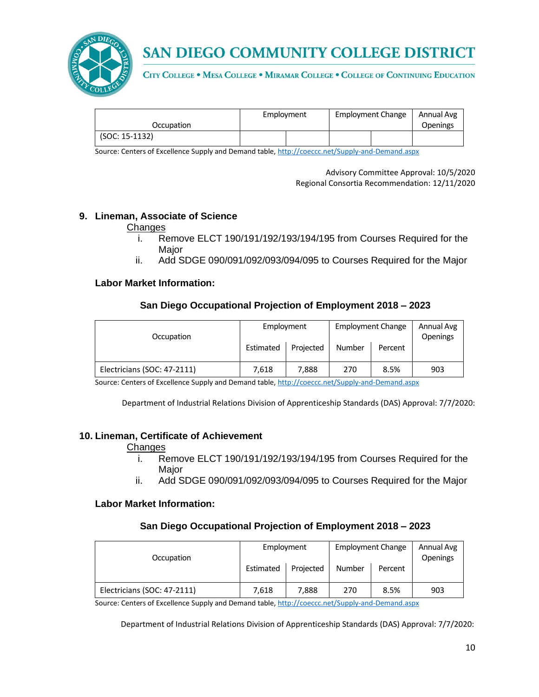

CITY COLLEGE . MESA COLLEGE . MIRAMAR COLLEGE . COLLEGE OF CONTINUING EDUCATION

|                | <b>Employment Change</b><br>Employment |  | Annual Avg |                 |
|----------------|----------------------------------------|--|------------|-----------------|
| Occupation     |                                        |  |            | <b>Openings</b> |
| (SOC: 15-1132) |                                        |  |            |                 |

Source: Centers of Excellence Supply and Demand table, <http://coeccc.net/Supply-and-Demand.aspx>

Advisory Committee Approval: 10/5/2020 Regional Consortia Recommendation: 12/11/2020

#### **9. Lineman, Associate of Science**

**Changes** 

- i. Remove ELCT 190/191/192/193/194/195 from Courses Required for the **Major**
- ii. Add SDGE 090/091/092/093/094/095 to Courses Required for the Major

#### **Labor Market Information:**

#### **San Diego Occupational Projection of Employment 2018 – 2023**

| Occupation                  | Employment<br>Projected<br>Estimated |       | <b>Employment Change</b><br><b>Number</b><br>Percent |      | Annual Avg<br><b>Openings</b> |
|-----------------------------|--------------------------------------|-------|------------------------------------------------------|------|-------------------------------|
| Electricians (SOC: 47-2111) | 7.618                                | 7.888 | 270                                                  | 8.5% | 903                           |

Source: Centers of Excellence Supply and Demand table, <http://coeccc.net/Supply-and-Demand.aspx>

Department of Industrial Relations Division of Apprenticeship Standards (DAS) Approval: 7/7/2020:

#### **10. Lineman, Certificate of Achievement**

#### **Changes**

- i. Remove ELCT 190/191/192/193/194/195 from Courses Required for the Major
- ii. Add SDGE 090/091/092/093/094/095 to Courses Required for the Major

#### **Labor Market Information:**

#### **San Diego Occupational Projection of Employment 2018 – 2023**

| Occupation                  | Employment |           | <b>Employment Change</b> |         | Annual Avg<br><b>Openings</b> |
|-----------------------------|------------|-----------|--------------------------|---------|-------------------------------|
|                             | Estimated  | Projected | Number                   | Percent |                               |
| Electricians (SOC: 47-2111) | 7.618      | 7.888     | 270                      | 8.5%    | 903                           |

Source: Centers of Excellence Supply and Demand table, <http://coeccc.net/Supply-and-Demand.aspx>

Department of Industrial Relations Division of Apprenticeship Standards (DAS) Approval: 7/7/2020: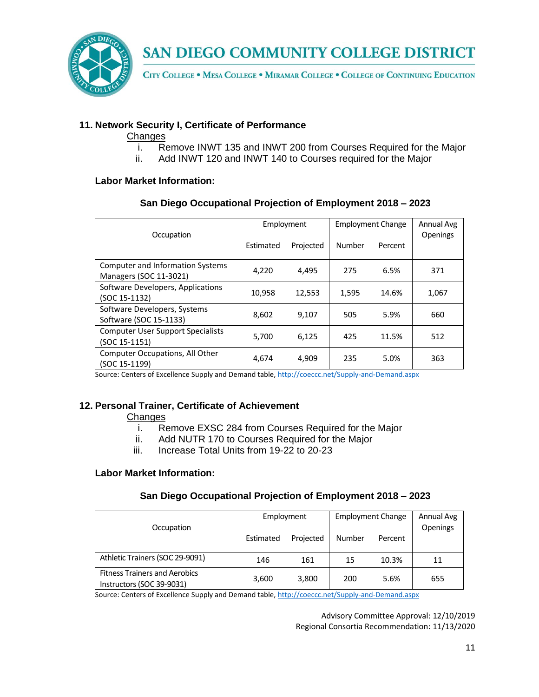

CITY COLLEGE . MESA COLLEGE . MIRAMAR COLLEGE . COLLEGE OF CONTINUING EDUCATION

## **11. Network Security I, Certificate of Performance**

#### **Changes**

- i. Remove INWT 135 and INWT 200 from Courses Required for the Major
- ii. Add INWT 120 and INWT 140 to Courses required for the Major

#### **Labor Market Information:**

## **San Diego Occupational Projection of Employment 2018 – 2023**

| Occupation                                             | Employment |           | <b>Employment Change</b> |         | Annual Avg<br><b>Openings</b> |
|--------------------------------------------------------|------------|-----------|--------------------------|---------|-------------------------------|
|                                                        | Estimated  | Projected | Number                   | Percent |                               |
| <b>Computer and Information Systems</b>                | 4,220      | 4,495     | 275                      | 6.5%    | 371                           |
| Managers (SOC 11-3021)                                 |            |           |                          |         |                               |
| Software Developers, Applications                      | 10,958     | 12,553    | 1,595                    | 14.6%   | 1,067                         |
| (SOC 15-1132)                                          |            |           |                          |         |                               |
| Software Developers, Systems<br>Software (SOC 15-1133) | 8,602      | 9,107     | 505                      | 5.9%    | 660                           |
| <b>Computer User Support Specialists</b>               | 5,700      | 6,125     | 425                      | 11.5%   | 512                           |
| (SOC 15-1151)                                          |            |           |                          |         |                               |
| Computer Occupations, All Other<br>(SOC 15-1199)       | 4,674      | 4,909     | 235                      | 5.0%    | 363                           |

Source: Centers of Excellence Supply and Demand table, <http://coeccc.net/Supply-and-Demand.aspx>

#### **12. Personal Trainer, Certificate of Achievement**

**Changes** 

- i. Remove EXSC 284 from Courses Required for the Major
- ii. Add NUTR 170 to Courses Required for the Major
- iii. Increase Total Units from 19-22 to 20-23

#### **Labor Market Information:**

#### **San Diego Occupational Projection of Employment 2018 – 2023**

| Occupation                                                        | Employment |           | <b>Employment Change</b> |         | Annual Avg<br>Openings |
|-------------------------------------------------------------------|------------|-----------|--------------------------|---------|------------------------|
|                                                                   | Estimated  | Projected | Number                   | Percent |                        |
| Athletic Trainers (SOC 29-9091)                                   | 146        | 161       | 15                       | 10.3%   | 11                     |
| <b>Fitness Trainers and Aerobics</b><br>Instructors (SOC 39-9031) | 3,600      | 3,800     | 200                      | 5.6%    | 655                    |

Source: Centers of Excellence Supply and Demand table, <http://coeccc.net/Supply-and-Demand.aspx>

Advisory Committee Approval: 12/10/2019 Regional Consortia Recommendation: 11/13/2020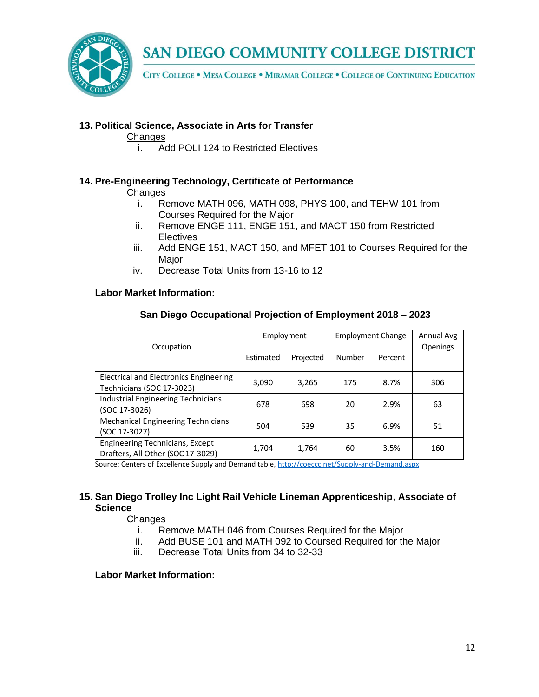

CITY COLLEGE . MESA COLLEGE . MIRAMAR COLLEGE . COLLEGE OF CONTINUING EDUCATION

## **13. Political Science, Associate in Arts for Transfer**

#### **Changes**

i. Add POLI 124 to Restricted Electives

## **14. Pre-Engineering Technology, Certificate of Performance**

#### **Changes**

- i. Remove MATH 096, MATH 098, PHYS 100, and TEHW 101 from Courses Required for the Major
- ii. Remove ENGE 111, ENGE 151, and MACT 150 from Restricted **Electives**
- iii. Add ENGE 151, MACT 150, and MFET 101 to Courses Required for the Major
- iv. Decrease Total Units from 13-16 to 12

#### **Labor Market Information:**

| Occupation                                                                  | Employment |           | <b>Employment Change</b> |         | Annual Avg<br><b>Openings</b> |
|-----------------------------------------------------------------------------|------------|-----------|--------------------------|---------|-------------------------------|
|                                                                             | Estimated  | Projected | Number                   | Percent |                               |
| Electrical and Electronics Engineering<br>Technicians (SOC 17-3023)         | 3,090      | 3,265     | 175                      | 8.7%    | 306                           |
| <b>Industrial Engineering Technicians</b><br>(SOC 17-3026)                  | 678        | 698       | 20                       | 2.9%    | 63                            |
| <b>Mechanical Engineering Technicians</b><br>(SOC 17-3027)                  | 504        | 539       | 35                       | 6.9%    | 51                            |
| <b>Engineering Technicians, Except</b><br>Drafters, All Other (SOC 17-3029) | 1,704      | 1,764     | 60                       | 3.5%    | 160                           |

#### **San Diego Occupational Projection of Employment 2018 – 2023**

Source: Centers of Excellence Supply and Demand table, <http://coeccc.net/Supply-and-Demand.aspx>

#### **15. San Diego Trolley Inc Light Rail Vehicle Lineman Apprenticeship, Associate of Science**

#### **Changes**

- i. Remove MATH 046 from Courses Required for the Major
- ii. Add BUSE 101 and MATH 092 to Coursed Required for the Major
- iii. Decrease Total Units from 34 to 32-33

#### **Labor Market Information:**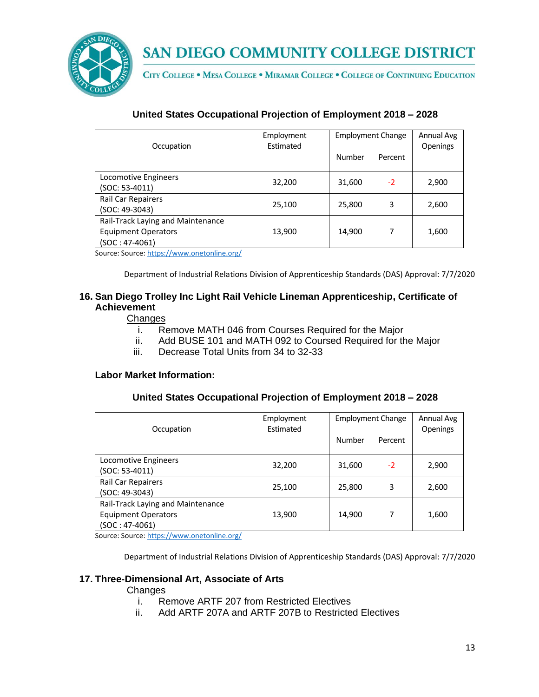

CITY COLLEGE . MESA COLLEGE . MIRAMAR COLLEGE . COLLEGE OF CONTINUING EDUCATION

## **United States Occupational Projection of Employment 2018 – 2028**

| Occupation                                                                          | Employment<br>Estimated | <b>Employment Change</b> |         | Annual Avg<br><b>Openings</b> |
|-------------------------------------------------------------------------------------|-------------------------|--------------------------|---------|-------------------------------|
|                                                                                     |                         | Number                   | Percent |                               |
| Locomotive Engineers<br>(SOC: 53-4011)                                              | 32,200                  | 31,600                   | $-2$    | 2,900                         |
| Rail Car Repairers<br>(SOC: 49-3043)                                                | 25,100                  | 25,800                   | 3       | 2,600                         |
| Rail-Track Laying and Maintenance<br><b>Equipment Operators</b><br>$(SOC: 47-4061)$ | 13,900                  | 14,900                   | 7       | 1,600                         |

Source: Source[: https://www.onetonline.org/](https://www.onetonline.org/)

Department of Industrial Relations Division of Apprenticeship Standards (DAS) Approval: 7/7/2020

### **16. San Diego Trolley Inc Light Rail Vehicle Lineman Apprenticeship, Certificate of Achievement**

#### **Changes**

- i. Remove MATH 046 from Courses Required for the Major
- ii. Add BUSE 101 and MATH 092 to Coursed Required for the Major
- iii. Decrease Total Units from 34 to 32-33

#### **Labor Market Information:**

#### **United States Occupational Projection of Employment 2018 – 2028**

| Occupation                                                                               | Employment<br>Estimated | <b>Employment Change</b> |         | Annual Avg<br><b>Openings</b> |
|------------------------------------------------------------------------------------------|-------------------------|--------------------------|---------|-------------------------------|
|                                                                                          |                         | Number                   | Percent |                               |
| Locomotive Engineers<br>(SOC: 53-4011)                                                   | 32,200                  | 31,600                   | $-2$    | 2,900                         |
| Rail Car Repairers<br>(SOC: 49-3043)                                                     | 25,100                  | 25,800                   | 3       | 2,600                         |
| Rail-Track Laying and Maintenance<br><b>Equipment Operators</b><br>$(SOC: 47-4061)$<br>. | 13,900                  | 14,900                   | 7       | 1,600                         |

Source: Source[: https://www.onetonline.org/](https://www.onetonline.org/)

Department of Industrial Relations Division of Apprenticeship Standards (DAS) Approval: 7/7/2020

## **17. Three-Dimensional Art, Associate of Arts**

#### **Changes**

- i. Remove ARTF 207 from Restricted Electives
- ii. Add ARTF 207A and ARTF 207B to Restricted Electives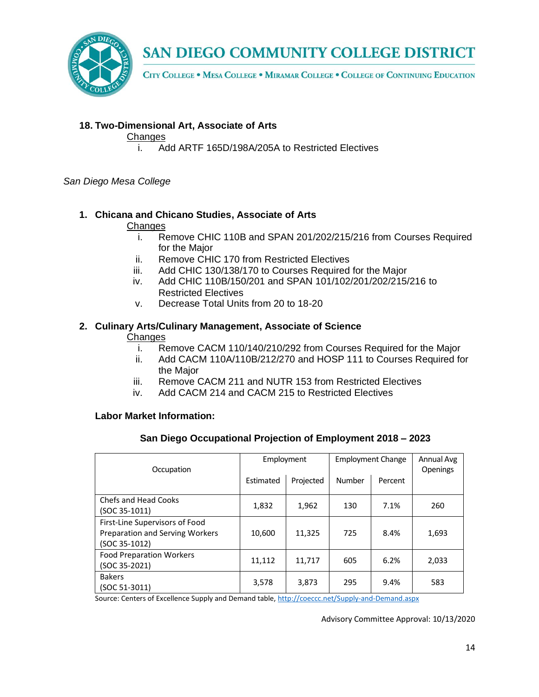

CITY COLLEGE . MESA COLLEGE . MIRAMAR COLLEGE . COLLEGE OF CONTINUING EDUCATION

## **18. Two-Dimensional Art, Associate of Arts**

#### **Changes**

i. Add ARTF 165D/198A/205A to Restricted Electives

#### *San Diego Mesa College*

## **1. Chicana and Chicano Studies, Associate of Arts**

#### **Changes**

- i. Remove CHIC 110B and SPAN 201/202/215/216 from Courses Required for the Major
- ii. Remove CHIC 170 from Restricted Electives
- iii. Add CHIC 130/138/170 to Courses Required for the Major
- iv. Add CHIC 110B/150/201 and SPAN 101/102/201/202/215/216 to Restricted Electives
- v. Decrease Total Units from 20 to 18-20

#### **2. Culinary Arts/Culinary Management, Associate of Science Changes**

- i. Remove CACM 110/140/210/292 from Courses Required for the Major
- ii. Add CACM 110A/110B/212/270 and HOSP 111 to Courses Required for the Major
- iii. Remove CACM 211 and NUTR 153 from Restricted Electives
- iv. Add CACM 214 and CACM 215 to Restricted Electives

#### **Labor Market Information:**

#### **San Diego Occupational Projection of Employment 2018 – 2023**

| Occupation                                                                         | Employment |           | <b>Employment Change</b> |         | Annual Avg<br><b>Openings</b> |
|------------------------------------------------------------------------------------|------------|-----------|--------------------------|---------|-------------------------------|
|                                                                                    | Estimated  | Projected | Number                   | Percent |                               |
| <b>Chefs and Head Cooks</b><br>$(SOC 35-1011)$                                     | 1,832      | 1,962     | 130                      | 7.1%    | 260                           |
| First-Line Supervisors of Food<br>Preparation and Serving Workers<br>(SOC 35-1012) | 10,600     | 11,325    | 725                      | 8.4%    | 1,693                         |
| <b>Food Preparation Workers</b><br>(SOC 35-2021)                                   | 11,112     | 11,717    | 605                      | 6.2%    | 2,033                         |
| <b>Bakers</b><br>$(SOC 51-3011)$                                                   | 3,578      | 3,873     | 295                      | 9.4%    | 583                           |

Source: Centers of Excellence Supply and Demand table, <http://coeccc.net/Supply-and-Demand.aspx>

Advisory Committee Approval: 10/13/2020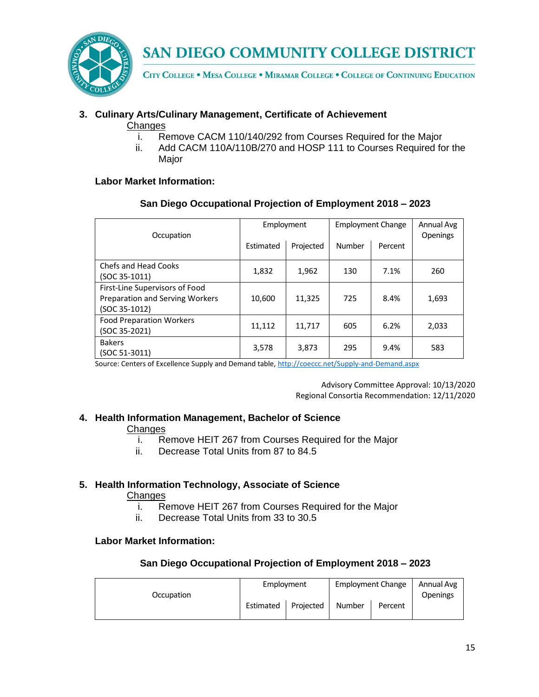

CITY COLLEGE . MESA COLLEGE . MIRAMAR COLLEGE . COLLEGE OF CONTINUING EDUCATION

## **3. Culinary Arts/Culinary Management, Certificate of Achievement**

- Changes
	- i. Remove CACM 110/140/292 from Courses Required for the Major
	- ii. Add CACM 110A/110B/270 and HOSP 111 to Courses Required for the Major

## **Labor Market Information:**

## **San Diego Occupational Projection of Employment 2018 – 2023**

| Occupation                                                                                  | Employment |           | <b>Employment Change</b> |         | Annual Avg<br>Openings |
|---------------------------------------------------------------------------------------------|------------|-----------|--------------------------|---------|------------------------|
|                                                                                             | Estimated  | Projected | Number                   | Percent |                        |
| Chefs and Head Cooks<br>$(SOC 35-1011)$                                                     | 1,832      | 1,962     | 130                      | 7.1%    | 260                    |
| First-Line Supervisors of Food<br><b>Preparation and Serving Workers</b><br>$(SOC 35-1012)$ | 10,600     | 11.325    | 725                      | 8.4%    | 1,693                  |
| <b>Food Preparation Workers</b><br>(SOC 35-2021)                                            | 11,112     | 11,717    | 605                      | 6.2%    | 2,033                  |
| <b>Bakers</b><br>(SOC 51-3011)                                                              | 3,578      | 3,873     | 295                      | 9.4%    | 583                    |

Source: Centers of Excellence Supply and Demand table, <http://coeccc.net/Supply-and-Demand.aspx>

Advisory Committee Approval: 10/13/2020 Regional Consortia Recommendation: 12/11/2020

## **4. Health Information Management, Bachelor of Science**

#### **Changes**

- i. Remove HEIT 267 from Courses Required for the Major
- ii. Decrease Total Units from 87 to 84.5

## **5. Health Information Technology, Associate of Science**

#### **Changes**

- i. Remove HEIT 267 from Courses Required for the Major
- ii. Decrease Total Units from 33 to 30.5

## **Labor Market Information:**

|            | Employment |           | <b>Employment Change</b> |         | Annual Avg      |
|------------|------------|-----------|--------------------------|---------|-----------------|
| Occupation | Estimated  | Projected | Number                   | Percent | <b>Openings</b> |
|            |            |           |                          |         |                 |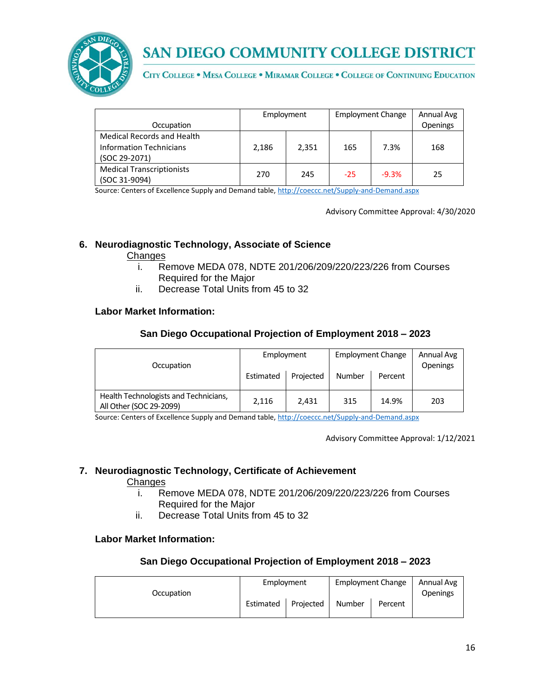

CITY COLLEGE . MESA COLLEGE . MIRAMAR COLLEGE . COLLEGE OF CONTINUING EDUCATION

|                                   | Employment |       | <b>Employment Change</b> |         | Annual Avg |
|-----------------------------------|------------|-------|--------------------------|---------|------------|
| Occupation                        |            |       |                          |         | Openings   |
| <b>Medical Records and Health</b> |            |       |                          |         |            |
| <b>Information Technicians</b>    | 2,186      | 2,351 | 165                      | 7.3%    | 168        |
| (SOC 29-2071)                     |            |       |                          |         |            |
| <b>Medical Transcriptionists</b>  | 270        |       |                          | $-9.3%$ |            |
| (SOC 31-9094)                     |            | 245   | $-25$                    |         | 25         |

Source: Centers of Excellence Supply and Demand table, <http://coeccc.net/Supply-and-Demand.aspx>

Advisory Committee Approval: 4/30/2020

#### **6. Neurodiagnostic Technology, Associate of Science**

#### **Changes**

- i. Remove MEDA 078, NDTE 201/206/209/220/223/226 from Courses Required for the Major
- ii. Decrease Total Units from 45 to 32

#### **Labor Market Information:**

#### **San Diego Occupational Projection of Employment 2018 – 2023**

| Occupation                                                       | Employment<br>Estimated | Projected | <b>Employment Change</b><br><b>Number</b> | Percent | Annual Avg<br><b>Openings</b> |
|------------------------------------------------------------------|-------------------------|-----------|-------------------------------------------|---------|-------------------------------|
| Health Technologists and Technicians,<br>All Other (SOC 29-2099) | 2,116                   | 2.431     | 315                                       | 14.9%   | 203                           |

Source: Centers of Excellence Supply and Demand table, <http://coeccc.net/Supply-and-Demand.aspx>

Advisory Committee Approval: 1/12/2021

#### **7. Neurodiagnostic Technology, Certificate of Achievement**

#### **Changes**

- i. Remove MEDA 078, NDTE 201/206/209/220/223/226 from Courses Required for the Major
- ii. Decrease Total Units from 45 to 32

#### **Labor Market Information:**

|            |           | Employment |        | <b>Employment Change</b> |                 |
|------------|-----------|------------|--------|--------------------------|-----------------|
| Occupation |           |            |        |                          | <b>Openings</b> |
|            | Estimated | Projected  | Number | Percent                  |                 |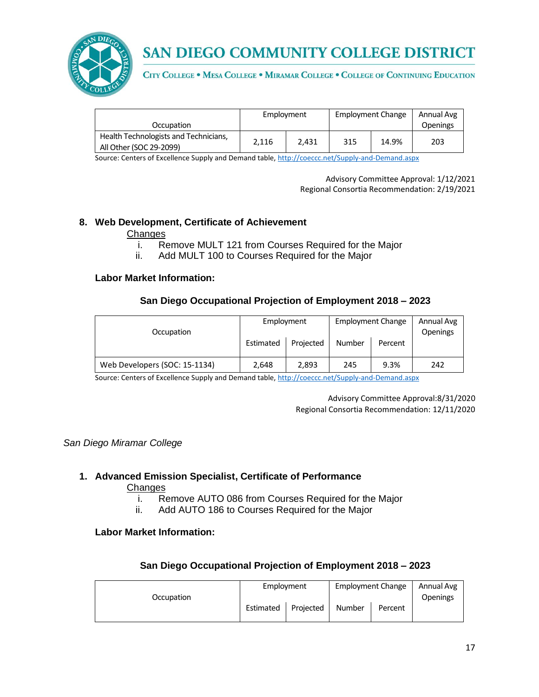

CITY COLLEGE . MESA COLLEGE . MIRAMAR COLLEGE . COLLEGE OF CONTINUING EDUCATION

|                                                                  | Employment |       | <b>Employment Change</b> |       | Annual Avg      |
|------------------------------------------------------------------|------------|-------|--------------------------|-------|-----------------|
| Occupation                                                       |            |       |                          |       | <b>Openings</b> |
| Health Technologists and Technicians,<br>All Other (SOC 29-2099) | 2.116      | 2.431 | 315                      | 14.9% | 203             |

Source: Centers of Excellence Supply and Demand table, <http://coeccc.net/Supply-and-Demand.aspx>

Advisory Committee Approval: 1/12/2021 Regional Consortia Recommendation: 2/19/2021

#### **8. Web Development, Certificate of Achievement**

#### **Changes**

- i. Remove MULT 121 from Courses Required for the Major
- ii. Add MULT 100 to Courses Required for the Major

#### **Labor Market Information:**

## **San Diego Occupational Projection of Employment 2018 – 2023**

| Occupation                    | Employment |           | <b>Employment Change</b> |         | Annual Avg<br><b>Openings</b> |
|-------------------------------|------------|-----------|--------------------------|---------|-------------------------------|
|                               | Estimated  | Projected | Number                   | Percent |                               |
| Web Developers (SOC: 15-1134) | 2.648      | 2.893     | 245                      | 9.3%    | 242                           |

Source: Centers of Excellence Supply and Demand table, <http://coeccc.net/Supply-and-Demand.aspx>

Advisory Committee Approval:8/31/2020 Regional Consortia Recommendation: 12/11/2020

*San Diego Miramar College*

## **1. Advanced Emission Specialist, Certificate of Performance**

#### Changes

- i. Remove AUTO 086 from Courses Required for the Major
- ii. Add AUTO 186 to Courses Required for the Major

#### **Labor Market Information:**

|            | Employment |           | <b>Employment Change</b> |         | Annual Avg      |
|------------|------------|-----------|--------------------------|---------|-----------------|
| Occupation |            |           |                          |         | <b>Openings</b> |
|            | Estimated  | Projected | Number                   | Percent |                 |
|            |            |           |                          |         |                 |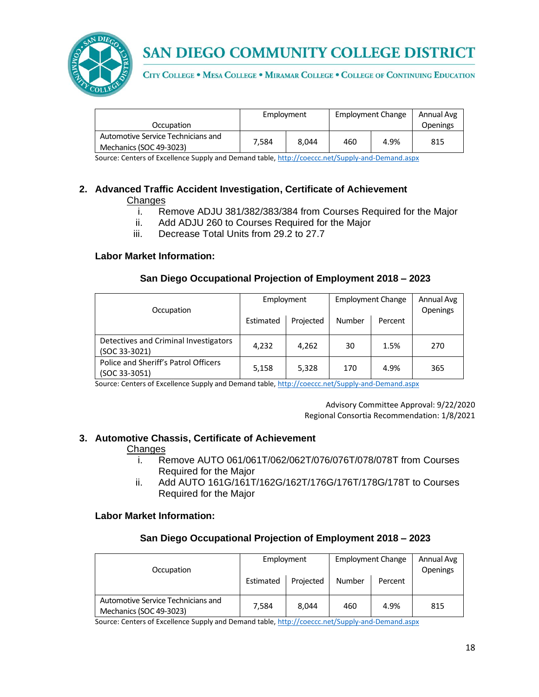

CITY COLLEGE . MESA COLLEGE . MIRAMAR COLLEGE . COLLEGE OF CONTINUING EDUCATION

|                                                               | Employment |       | <b>Employment Change</b> |      | Annual Avg      |
|---------------------------------------------------------------|------------|-------|--------------------------|------|-----------------|
| Occupation                                                    |            |       |                          |      | <b>Openings</b> |
| Automotive Service Technicians and<br>Mechanics (SOC 49-3023) | 7.584      | 8.044 | 460                      | 4.9% | 815             |

Source: Centers of Excellence Supply and Demand table, <http://coeccc.net/Supply-and-Demand.aspx>

### **2. Advanced Traffic Accident Investigation, Certificate of Achievement Changes**

- i. Remove ADJU 381/382/383/384 from Courses Required for the Major
- ii. Add ADJU 260 to Courses Required for the Major
- iii. Decrease Total Units from 29.2 to 27.7

## **Labor Market Information:**

## **San Diego Occupational Projection of Employment 2018 – 2023**

|                                                         | Employment             |        | <b>Employment Change</b> |                 | Annual Avg |
|---------------------------------------------------------|------------------------|--------|--------------------------|-----------------|------------|
| Occupation                                              | Projected<br>Estimated | Number | Percent                  | <b>Openings</b> |            |
| Detectives and Criminal Investigators<br>(SOC 33-3021)  | 4,232                  | 4,262  | 30                       | 1.5%            | 270        |
| Police and Sheriff's Patrol Officers<br>$(SOC 33-3051)$ | 5,158                  | 5,328  | 170                      | 4.9%            | 365        |

Source: Centers of Excellence Supply and Demand table, <http://coeccc.net/Supply-and-Demand.aspx>

Advisory Committee Approval: 9/22/2020 Regional Consortia Recommendation: 1/8/2021

#### **3. Automotive Chassis, Certificate of Achievement**

#### **Changes**

- i. Remove AUTO 061/061T/062/062T/076/076T/078/078T from Courses Required for the Major
- ii. Add AUTO 161G/161T/162G/162T/176G/176T/178G/178T to Courses Required for the Major

#### **Labor Market Information:**

#### **San Diego Occupational Projection of Employment 2018 – 2023**

| Occupation                                                    | Employment<br>Estimated | Projected | Number | <b>Employment Change</b><br>Percent | Annual Avg<br><b>Openings</b> |
|---------------------------------------------------------------|-------------------------|-----------|--------|-------------------------------------|-------------------------------|
| Automotive Service Technicians and<br>Mechanics (SOC 49-3023) | 7.584                   | 8.044     | 460    | 4.9%                                | 815                           |

Source: Centers of Excellence Supply and Demand table, <http://coeccc.net/Supply-and-Demand.aspx>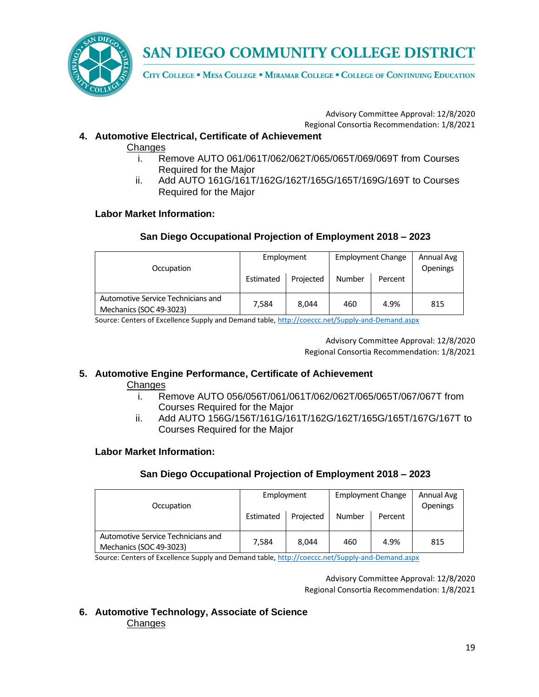

CITY COLLEGE . MESA COLLEGE . MIRAMAR COLLEGE . COLLEGE OF CONTINUING EDUCATION

Advisory Committee Approval: 12/8/2020 Regional Consortia Recommendation: 1/8/2021

## **4. Automotive Electrical, Certificate of Achievement**

**Changes** 

- i. Remove AUTO 061/061T/062/062T/065/065T/069/069T from Courses Required for the Major
- ii. Add AUTO 161G/161T/162G/162T/165G/165T/169G/169T to Courses Required for the Major

## **Labor Market Information:**

## **San Diego Occupational Projection of Employment 2018 – 2023**

| Occupation                                                    | Employment<br>Estimated | Projected | <b>Employment Change</b><br><b>Number</b> | Percent | Annual Avg<br><b>Openings</b> |
|---------------------------------------------------------------|-------------------------|-----------|-------------------------------------------|---------|-------------------------------|
| Automotive Service Technicians and<br>Mechanics (SOC 49-3023) | 7.584                   | 8.044     | 460                                       | 4.9%    | 815                           |

Source: Centers of Excellence Supply and Demand table, <http://coeccc.net/Supply-and-Demand.aspx>

Advisory Committee Approval: 12/8/2020 Regional Consortia Recommendation: 1/8/2021

#### **5. Automotive Engine Performance, Certificate of Achievement**

#### **Changes**

- i. Remove AUTO 056/056T/061/061T/062/062T/065/065T/067/067T from Courses Required for the Major
- ii. Add AUTO 156G/156T/161G/161T/162G/162T/165G/165T/167G/167T to Courses Required for the Major

#### **Labor Market Information:**

#### **San Diego Occupational Projection of Employment 2018 – 2023**

| Occupation                                                    | Employment<br>Estimated | Projected | <b>Employment Change</b><br>Number | Percent | Annual Avg<br>Openings |
|---------------------------------------------------------------|-------------------------|-----------|------------------------------------|---------|------------------------|
| Automotive Service Technicians and<br>Mechanics (SOC 49-3023) | 7.584                   | 8.044     | 460                                | 4.9%    | 815                    |

Source: Centers of Excellence Supply and Demand table, <http://coeccc.net/Supply-and-Demand.aspx>

Advisory Committee Approval: 12/8/2020 Regional Consortia Recommendation: 1/8/2021

**6. Automotive Technology, Associate of Science Changes**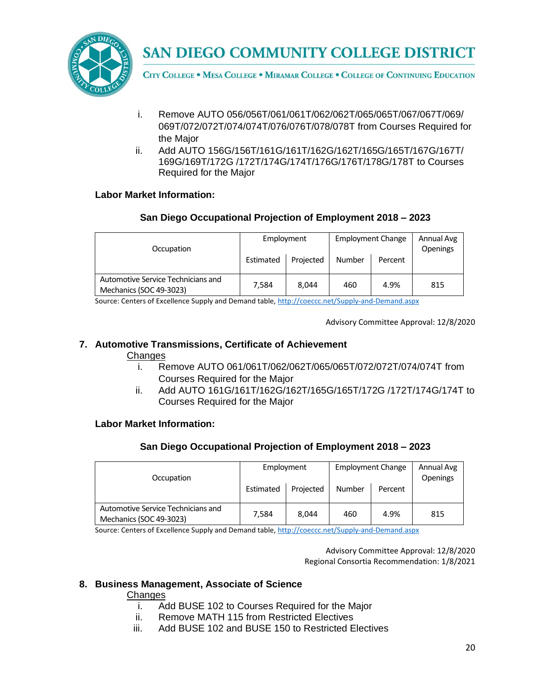

CITY COLLEGE . MESA COLLEGE . MIRAMAR COLLEGE . COLLEGE OF CONTINUING EDUCATION

- i. Remove AUTO 056/056T/061/061T/062/062T/065/065T/067/067T/069/ 069T/072/072T/074/074T/076/076T/078/078T from Courses Required for the Major
- ii. Add AUTO 156G/156T/161G/161T/162G/162T/165G/165T/167G/167T/ 169G/169T/172G /172T/174G/174T/176G/176T/178G/178T to Courses Required for the Major

## **Labor Market Information:**

## **San Diego Occupational Projection of Employment 2018 – 2023**

| Occupation                                                    | Employment<br>Estimated | Projected | <b>Employment Change</b><br><b>Number</b> | Percent | Annual Avg<br>Openings |
|---------------------------------------------------------------|-------------------------|-----------|-------------------------------------------|---------|------------------------|
| Automotive Service Technicians and<br>Mechanics (SOC 49-3023) | 7.584                   | 8.044     | 460                                       | 4.9%    | 815                    |

Source: Centers of Excellence Supply and Demand table, <http://coeccc.net/Supply-and-Demand.aspx>

Advisory Committee Approval: 12/8/2020

## **7. Automotive Transmissions, Certificate of Achievement**

#### **Changes**

- i. Remove AUTO 061/061T/062/062T/065/065T/072/072T/074/074T from Courses Required for the Major
- ii. Add AUTO 161G/161T/162G/162T/165G/165T/172G /172T/174G/174T to Courses Required for the Major

#### **Labor Market Information:**

## **San Diego Occupational Projection of Employment 2018 – 2023**

| Occupation                                                    | Employment<br>Estimated | Projected | <b>Employment Change</b><br>Number | Percent | Annual Avg<br>Openings |
|---------------------------------------------------------------|-------------------------|-----------|------------------------------------|---------|------------------------|
| Automotive Service Technicians and<br>Mechanics (SOC 49-3023) | 7,584                   | 8.044     | 460                                | 4.9%    | 815                    |

Source: Centers of Excellence Supply and Demand table, <http://coeccc.net/Supply-and-Demand.aspx>

Advisory Committee Approval: 12/8/2020 Regional Consortia Recommendation: 1/8/2021

#### **8. Business Management, Associate of Science**

**Changes** 

- i. Add BUSE 102 to Courses Required for the Major
- ii. Remove MATH 115 from Restricted Electives
- iii. Add BUSE 102 and BUSE 150 to Restricted Electives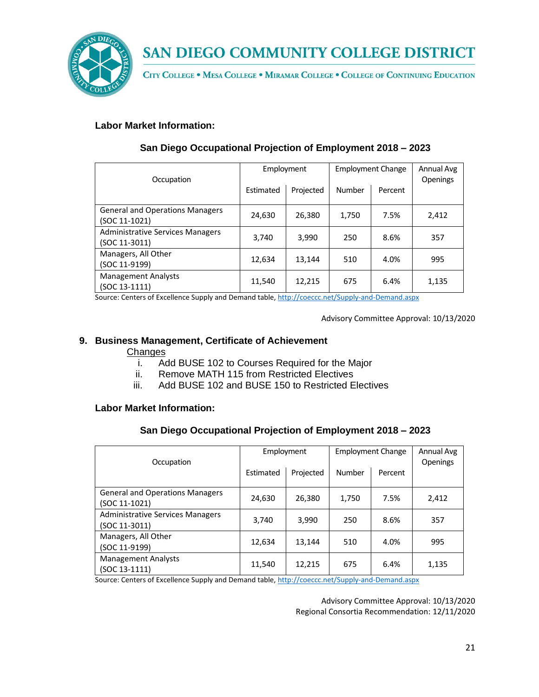

CITY COLLEGE . MESA COLLEGE . MIRAMAR COLLEGE . COLLEGE OF CONTINUING EDUCATION

## **Labor Market Information:**

| Occupation                                               | Employment |           | <b>Employment Change</b> |         | Annual Avg<br>Openings |
|----------------------------------------------------------|------------|-----------|--------------------------|---------|------------------------|
|                                                          | Estimated  | Projected | Number                   | Percent |                        |
| <b>General and Operations Managers</b><br>(SOC 11-1021)  | 24,630     | 26,380    | 1,750                    | 7.5%    | 2,412                  |
| <b>Administrative Services Managers</b><br>(SOC 11-3011) | 3.740      | 3,990     | 250                      | 8.6%    | 357                    |
| Managers, All Other<br>(SOC 11-9199)                     | 12,634     | 13,144    | 510                      | 4.0%    | 995                    |
| <b>Management Analysts</b><br>(SOC 13-1111)              | 11,540     | 12,215    | 675                      | 6.4%    | 1,135                  |

## **San Diego Occupational Projection of Employment 2018 – 2023**

Source: Centers of Excellence Supply and Demand table, <http://coeccc.net/Supply-and-Demand.aspx>

Advisory Committee Approval: 10/13/2020

## **9. Business Management, Certificate of Achievement**

#### **Changes**

- i. Add BUSE 102 to Courses Required for the Major
- ii. Remove MATH 115 from Restricted Electives
- iii. Add BUSE 102 and BUSE 150 to Restricted Electives

#### **Labor Market Information:**

## **San Diego Occupational Projection of Employment 2018 – 2023**

| Occupation                                                                                                                                                                                                                                                                                     | Employment |           | <b>Employment Change</b> |         | Annual Avg<br>Openings |
|------------------------------------------------------------------------------------------------------------------------------------------------------------------------------------------------------------------------------------------------------------------------------------------------|------------|-----------|--------------------------|---------|------------------------|
|                                                                                                                                                                                                                                                                                                | Estimated  | Projected | Number                   | Percent |                        |
| <b>General and Operations Managers</b><br>(SOC 11-1021)                                                                                                                                                                                                                                        | 24,630     | 26,380    | 1,750                    | 7.5%    | 2,412                  |
| <b>Administrative Services Managers</b><br>(SOC 11-3011)                                                                                                                                                                                                                                       | 3,740      | 3,990     | 250                      | 8.6%    | 357                    |
| Managers, All Other<br>(SOC 11-9199)                                                                                                                                                                                                                                                           | 12,634     | 13,144    | 510                      | 4.0%    | 995                    |
| <b>Management Analysts</b><br>(SOC 13-1111)<br>$\epsilon$ , and $\epsilon$ , and $\epsilon$ , and the contract of the contract of the contract of the contract of the contract of the contract of the contract of the contract of the contract of the contract of the contract of the contract | 11.540     | 12,215    | 675                      | 6.4%    | 1,135                  |

Source: Centers of Excellence Supply and Demand table, <http://coeccc.net/Supply-and-Demand.aspx>

Advisory Committee Approval: 10/13/2020 Regional Consortia Recommendation: 12/11/2020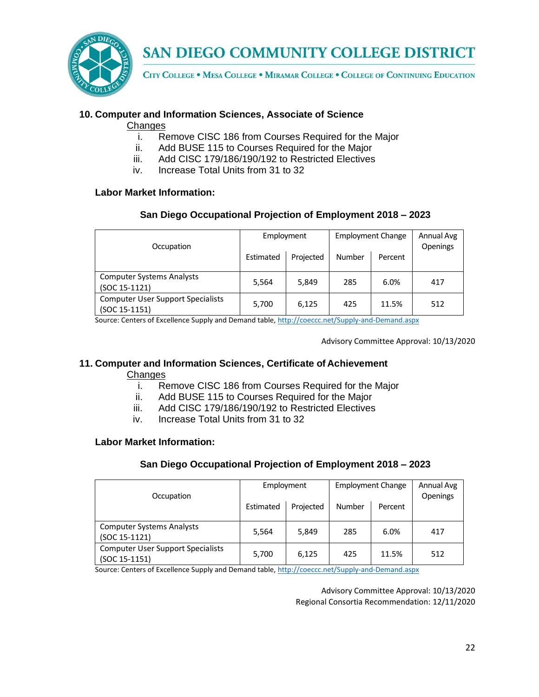

CITY COLLEGE . MESA COLLEGE . MIRAMAR COLLEGE . COLLEGE OF CONTINUING EDUCATION

### **10. Computer and Information Sciences, Associate of Science**

#### **Changes**

- i. Remove CISC 186 from Courses Required for the Major
- ii. Add BUSE 115 to Courses Required for the Major
- iii. Add CISC 179/186/190/192 to Restricted Electives
- iv. Increase Total Units from 31 to 32

#### **Labor Market Information:**

## **San Diego Occupational Projection of Employment 2018 – 2023**

| Occupation                                                | Employment |           | <b>Employment Change</b> |         | Annual Avg<br><b>Openings</b> |
|-----------------------------------------------------------|------------|-----------|--------------------------|---------|-------------------------------|
|                                                           | Estimated  | Projected | Number                   | Percent |                               |
| <b>Computer Systems Analysts</b><br>(SOC 15-1121)         | 5,564      | 5,849     | 285                      | 6.0%    | 417                           |
| <b>Computer User Support Specialists</b><br>(SOC 15-1151) | 5,700      | 6,125     | 425                      | 11.5%   | 512                           |

Source: Centers of Excellence Supply and Demand table, <http://coeccc.net/Supply-and-Demand.aspx>

Advisory Committee Approval: 10/13/2020

#### **11. Computer and Information Sciences, Certificate of Achievement Changes**

- i. Remove CISC 186 from Courses Required for the Major
- ii. Add BUSE 115 to Courses Required for the Major
- iii. Add CISC 179/186/190/192 to Restricted Electives
- iv. Increase Total Units from 31 to 32

#### **Labor Market Information:**

#### **San Diego Occupational Projection of Employment 2018 – 2023**

| Occupation                                                  | Employment |           | <b>Employment Change</b> |         | Annual Avg<br>Openings |
|-------------------------------------------------------------|------------|-----------|--------------------------|---------|------------------------|
|                                                             | Estimated  | Projected | Number                   | Percent |                        |
| <b>Computer Systems Analysts</b><br>$(SOC 15-1121)$         | 5,564      | 5,849     | 285                      | 6.0%    | 417                    |
| <b>Computer User Support Specialists</b><br>$(SOC 15-1151)$ | 5,700      | 6,125     | 425                      | 11.5%   | 512                    |

Source: Centers of Excellence Supply and Demand table, <http://coeccc.net/Supply-and-Demand.aspx>

Advisory Committee Approval: 10/13/2020 Regional Consortia Recommendation: 12/11/2020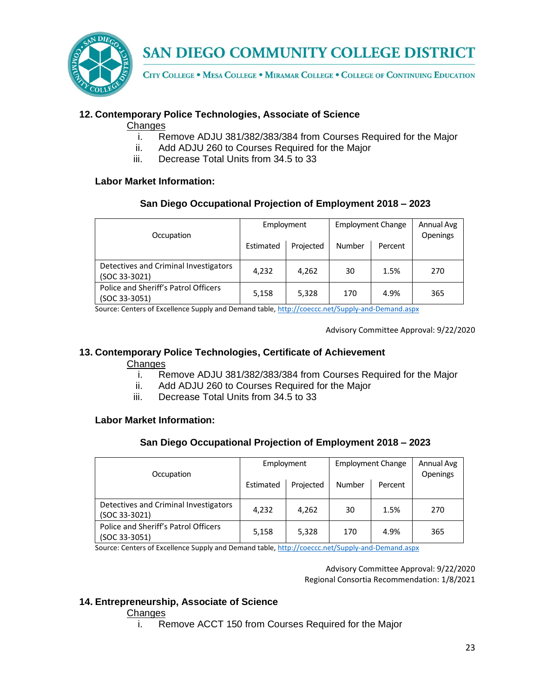

CITY COLLEGE . MESA COLLEGE . MIRAMAR COLLEGE . COLLEGE OF CONTINUING EDUCATION

## **12. Contemporary Police Technologies, Associate of Science**

#### **Changes**

- i. Remove ADJU 381/382/383/384 from Courses Required for the Major
- ii. Add ADJU 260 to Courses Required for the Major
- iii. Decrease Total Units from 34.5 to 33

#### **Labor Market Information:**

## **San Diego Occupational Projection of Employment 2018 – 2023**

| Occupation                                             | Employment |           | <b>Employment Change</b> |         | Annual Avg<br><b>Openings</b> |
|--------------------------------------------------------|------------|-----------|--------------------------|---------|-------------------------------|
|                                                        | Estimated  | Projected | Number                   | Percent |                               |
| Detectives and Criminal Investigators<br>(SOC 33-3021) | 4,232      | 4,262     | 30                       | 1.5%    | 270                           |
| Police and Sheriff's Patrol Officers<br>(SOC 33-3051)  | 5,158      | 5,328     | 170                      | 4.9%    | 365                           |

Source: Centers of Excellence Supply and Demand table, <http://coeccc.net/Supply-and-Demand.aspx>

Advisory Committee Approval: 9/22/2020

## **13. Contemporary Police Technologies, Certificate of Achievement**

#### **Changes**

- i. Remove ADJU 381/382/383/384 from Courses Required for the Major
- ii. Add ADJU 260 to Courses Required for the Major
- iii. Decrease Total Units from 34.5 to 33

#### **Labor Market Information:**

## **San Diego Occupational Projection of Employment 2018 – 2023**

| Occupation                                             | Employment |           | <b>Employment Change</b> |         | Annual Avg<br>Openings |
|--------------------------------------------------------|------------|-----------|--------------------------|---------|------------------------|
|                                                        | Estimated  | Projected | Number                   | Percent |                        |
| Detectives and Criminal Investigators<br>(SOC 33-3021) | 4,232      | 4.262     | 30                       | 1.5%    | 270                    |
| Police and Sheriff's Patrol Officers<br>(SOC 33-3051)  | 5,158      | 5,328     | 170                      | 4.9%    | 365                    |

Source: Centers of Excellence Supply and Demand table, <http://coeccc.net/Supply-and-Demand.aspx>

Advisory Committee Approval: 9/22/2020 Regional Consortia Recommendation: 1/8/2021

#### **14. Entrepreneurship, Associate of Science**

#### **Changes**

i. Remove ACCT 150 from Courses Required for the Major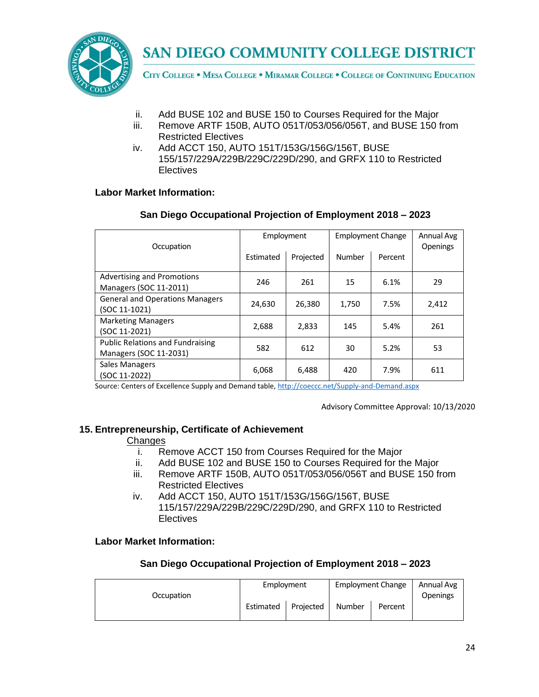

CITY COLLEGE . MESA COLLEGE . MIRAMAR COLLEGE . COLLEGE OF CONTINUING EDUCATION

- ii. Add BUSE 102 and BUSE 150 to Courses Required for the Major
- iii. Remove ARTF 150B, AUTO 051T/053/056/056T, and BUSE 150 from Restricted Electives
- iv. Add ACCT 150, AUTO 151T/153G/156G/156T, BUSE 155/157/229A/229B/229C/229D/290, and GRFX 110 to Restricted **Electives**

#### **Labor Market Information:**

#### **San Diego Occupational Projection of Employment 2018 – 2023**

| Occupation                                                        | Employment |           | <b>Employment Change</b> |         | Annual Avg<br><b>Openings</b> |
|-------------------------------------------------------------------|------------|-----------|--------------------------|---------|-------------------------------|
|                                                                   | Estimated  | Projected | Number                   | Percent |                               |
| Advertising and Promotions<br>Managers (SOC 11-2011)              | 246        | 261       | 15                       | 6.1%    | 29                            |
| <b>General and Operations Managers</b><br>(SOC 11-1021)           | 24,630     | 26,380    | 1,750                    | 7.5%    | 2,412                         |
| <b>Marketing Managers</b><br>(SOC 11-2021)                        | 2,688      | 2,833     | 145                      | 5.4%    | 261                           |
| <b>Public Relations and Fundraising</b><br>Managers (SOC 11-2031) | 582        | 612       | 30                       | 5.2%    | 53                            |
| Sales Managers<br>(SOC 11-2022)                                   | 6,068      | 6,488     | 420                      | 7.9%    | 611                           |

Source: Centers of Excellence Supply and Demand table, <http://coeccc.net/Supply-and-Demand.aspx>

Advisory Committee Approval: 10/13/2020

#### **15. Entrepreneurship, Certificate of Achievement**

#### Changes

- i. Remove ACCT 150 from Courses Required for the Major
- ii. Add BUSE 102 and BUSE 150 to Courses Required for the Major
- iii. Remove ARTF 150B, AUTO 051T/053/056/056T and BUSE 150 from Restricted Electives
- iv. Add ACCT 150, AUTO 151T/153G/156G/156T, BUSE 115/157/229A/229B/229C/229D/290, and GRFX 110 to Restricted **Electives**

#### **Labor Market Information:**

|            | Employment |           | <b>Employment Change</b> |         | Annual Avg      |
|------------|------------|-----------|--------------------------|---------|-----------------|
| Occupation | Estimated  | Projected | Number                   | Percent | <b>Openings</b> |
|            |            |           |                          |         |                 |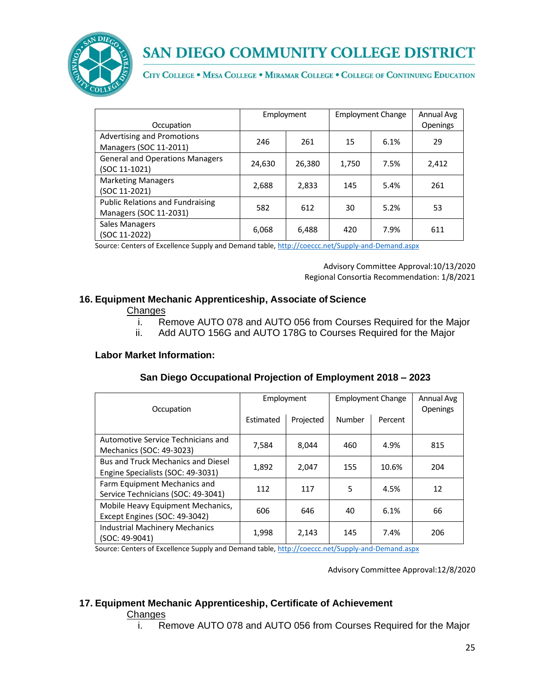

CITY COLLEGE . MESA COLLEGE . MIRAMAR COLLEGE . COLLEGE OF CONTINUING EDUCATION

| Occupation                                                        | Employment |        | <b>Employment Change</b> |      | Annual Avg<br>Openings |
|-------------------------------------------------------------------|------------|--------|--------------------------|------|------------------------|
| <b>Advertising and Promotions</b><br>Managers (SOC 11-2011)       | 246        | 261    | 15                       | 6.1% | 29                     |
| <b>General and Operations Managers</b><br>(SOC 11-1021)           | 24,630     | 26,380 | 1,750                    | 7.5% | 2,412                  |
| <b>Marketing Managers</b><br>(SOC 11-2021)                        | 2,688      | 2,833  | 145                      | 5.4% | 261                    |
| <b>Public Relations and Fundraising</b><br>Managers (SOC 11-2031) | 582        | 612    | 30                       | 5.2% | 53                     |
| <b>Sales Managers</b><br>(SOC 11-2022)                            | 6,068      | 6,488  | 420                      | 7.9% | 611                    |

Source: Centers of Excellence Supply and Demand table, <http://coeccc.net/Supply-and-Demand.aspx>

Advisory Committee Approval:10/13/2020 Regional Consortia Recommendation: 1/8/2021

#### **16. Equipment Mechanic Apprenticeship, Associate of Science**

#### Changes

- i. Remove AUTO 078 and AUTO 056 from Courses Required for the Major
- ii. Add AUTO 156G and AUTO 178G to Courses Required for the Major

#### **Labor Market Information:**

| San Diego Occupational Projection of Employment 2018 - 2023 |
|-------------------------------------------------------------|
|-------------------------------------------------------------|

| Occupation                                |           | Employment |        | <b>Employment Change</b> |     |
|-------------------------------------------|-----------|------------|--------|--------------------------|-----|
|                                           | Estimated | Projected  | Number | Percent                  |     |
| Automotive Service Technicians and        | 7,584     | 8.044      | 460    | 4.9%                     | 815 |
| Mechanics (SOC: 49-3023)                  |           |            |        |                          |     |
| <b>Bus and Truck Mechanics and Diesel</b> | 1,892     | 2,047      | 155    | 10.6%                    | 204 |
| Engine Specialists (SOC: 49-3031)         |           |            |        |                          |     |
| Farm Equipment Mechanics and              | 112       | 117        | 5      | 4.5%                     | 12  |
| Service Technicians (SOC: 49-3041)        |           |            |        |                          |     |
| Mobile Heavy Equipment Mechanics,         | 606       | 646        |        | 6.1%                     |     |
| Except Engines (SOC: 49-3042)             |           |            | 40     |                          | 66  |
| <b>Industrial Machinery Mechanics</b>     | 1,998     | 2,143      | 145    | 7.4%                     | 206 |
| (SOC: 49-9041)                            |           |            |        |                          |     |

Source: Centers of Excellence Supply and Demand table, <http://coeccc.net/Supply-and-Demand.aspx>

Advisory Committee Approval:12/8/2020

#### **17. Equipment Mechanic Apprenticeship, Certificate of Achievement**

**Changes** 

i. Remove AUTO 078 and AUTO 056 from Courses Required for the Major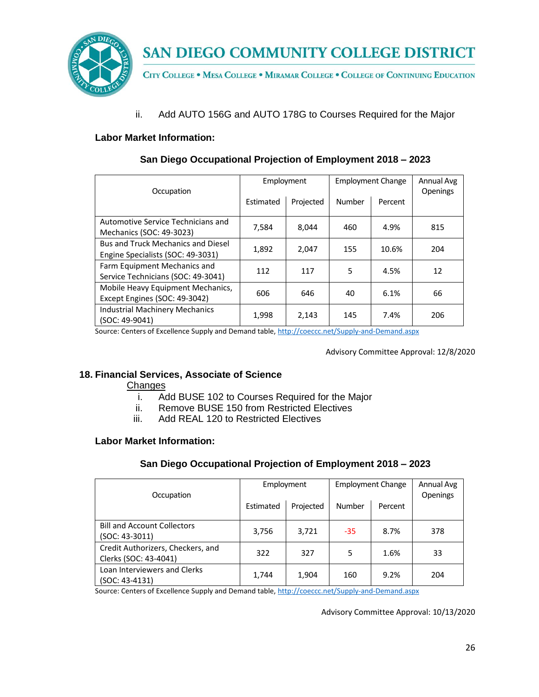

CITY COLLEGE . MESA COLLEGE . MIRAMAR COLLEGE . COLLEGE OF CONTINUING EDUCATION

ii. Add AUTO 156G and AUTO 178G to Courses Required for the Major

## **Labor Market Information:**

| Occupation                                | Employment |           | <b>Employment Change</b> |         | Annual Avg<br>Openings |
|-------------------------------------------|------------|-----------|--------------------------|---------|------------------------|
|                                           | Estimated  | Projected | Number                   | Percent |                        |
| Automotive Service Technicians and        | 7,584      | 8,044     | 460                      | 4.9%    | 815                    |
| Mechanics (SOC: 49-3023)                  |            |           |                          |         |                        |
| <b>Bus and Truck Mechanics and Diesel</b> | 1,892      | 2,047     | 155                      | 10.6%   | 204                    |
| Engine Specialists (SOC: 49-3031)         |            |           |                          |         |                        |
| Farm Equipment Mechanics and              | 112        | 117       | 5                        | 4.5%    | 12                     |
| Service Technicians (SOC: 49-3041)        |            |           |                          |         |                        |
| Mobile Heavy Equipment Mechanics,         | 606        | 646       | 40                       | 6.1%    | 66                     |
| Except Engines (SOC: 49-3042)             |            |           |                          |         |                        |
| <b>Industrial Machinery Mechanics</b>     | 1,998      | 2,143     | 145                      | 7.4%    | 206                    |
| (SOC: 49-9041)                            |            |           |                          |         |                        |

## **San Diego Occupational Projection of Employment 2018 – 2023**

Source: Centers of Excellence Supply and Demand table, <http://coeccc.net/Supply-and-Demand.aspx>

Advisory Committee Approval: 12/8/2020

## **18. Financial Services, Associate of Science**

Changes

- i. Add BUSE 102 to Courses Required for the Major
- ii. Remove BUSE 150 from Restricted Electives
- iii. Add REAL 120 to Restricted Electives

#### **Labor Market Information:**

## **San Diego Occupational Projection of Employment 2018 – 2023**

| Occupation                                                 | Employment |           | <b>Employment Change</b>                  |      | Annual Avg<br>Openings |
|------------------------------------------------------------|------------|-----------|-------------------------------------------|------|------------------------|
|                                                            | Estimated  | Projected | Number<br>Percent<br>3,721<br>8.7%<br>-35 |      |                        |
| <b>Bill and Account Collectors</b><br>$(SOC: 43-3011)$     | 3,756      |           |                                           |      | 378                    |
| Credit Authorizers, Checkers, and<br>Clerks (SOC: 43-4041) | 322        | 327       | 5                                         | 1.6% | 33                     |
| Loan Interviewers and Clerks<br>$(SOC: 43-4131)$           | 1,744      | 1,904     | 160                                       | 9.2% | 204                    |

Source: Centers of Excellence Supply and Demand table, <http://coeccc.net/Supply-and-Demand.aspx>

Advisory Committee Approval: 10/13/2020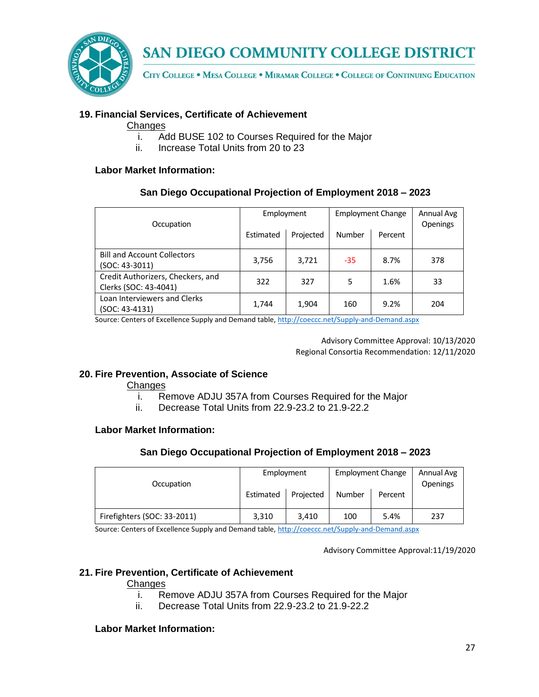

CITY COLLEGE . MESA COLLEGE . MIRAMAR COLLEGE . COLLEGE OF CONTINUING EDUCATION

## **19. Financial Services, Certificate of Achievement**

#### Changes

- i. Add BUSE 102 to Courses Required for the Major
- ii. Increase Total Units from 20 to 23

#### **Labor Market Information:**

#### **San Diego Occupational Projection of Employment 2018 – 2023**

| Occupation                                                 |           | Employment |        | <b>Employment Change</b> |     |
|------------------------------------------------------------|-----------|------------|--------|--------------------------|-----|
|                                                            | Estimated | Projected  | Number | Percent                  |     |
| <b>Bill and Account Collectors</b><br>(SOC: 43-3011)       | 3,756     | 3,721      | $-35$  | 8.7%                     | 378 |
| Credit Authorizers, Checkers, and<br>Clerks (SOC: 43-4041) | 322       | 327        | 5      | 1.6%                     | 33  |
| Loan Interviewers and Clerks<br>(SOC: 43-4131)             | 1,744     | 1,904      | 160    | 9.2%                     | 204 |

Source: Centers of Excellence Supply and Demand table, <http://coeccc.net/Supply-and-Demand.aspx>

Advisory Committee Approval: 10/13/2020 Regional Consortia Recommendation: 12/11/2020

#### **20. Fire Prevention, Associate of Science**

#### Changes

- i. Remove ADJU 357A from Courses Required for the Major
- ii. Decrease Total Units from 22.9-23.2 to 21.9-22.2

#### **Labor Market Information:**

#### **San Diego Occupational Projection of Employment 2018 – 2023**

| Occupation                  | Employment |           | <b>Employment Change</b> |         | Annual Avg<br><b>Openings</b> |
|-----------------------------|------------|-----------|--------------------------|---------|-------------------------------|
|                             | Estimated  | Projected | Number                   | Percent |                               |
| Firefighters (SOC: 33-2011) | 3,310      | 3.410     | 100                      | 5.4%    | 237                           |

Source: Centers of Excellence Supply and Demand table, <http://coeccc.net/Supply-and-Demand.aspx>

Advisory Committee Approval:11/19/2020

#### **21. Fire Prevention, Certificate of Achievement**

#### **Changes**

- i. Remove ADJU 357A from Courses Required for the Major
- ii. Decrease Total Units from 22.9-23.2 to 21.9-22.2

#### **Labor Market Information:**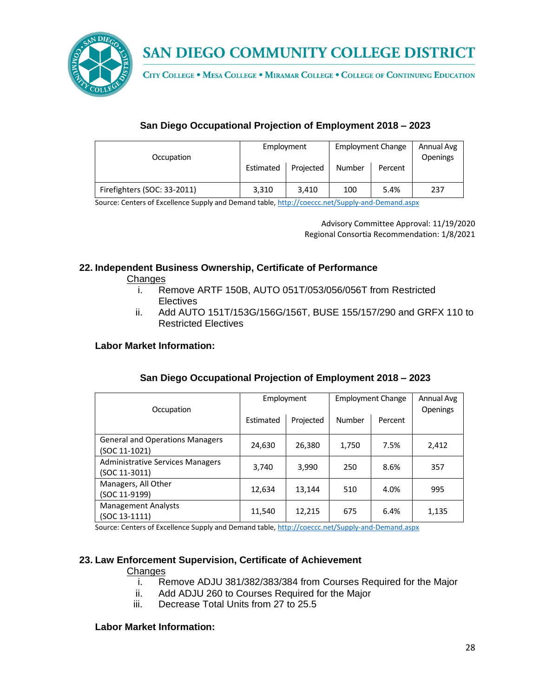

CITY COLLEGE . MESA COLLEGE . MIRAMAR COLLEGE . COLLEGE OF CONTINUING EDUCATION

## **San Diego Occupational Projection of Employment 2018 – 2023**

| Occupation                  | Employment |           | <b>Employment Change</b> |         | Annual Avg<br><b>Openings</b> |
|-----------------------------|------------|-----------|--------------------------|---------|-------------------------------|
|                             | Estimated  | Projected | Number                   | Percent |                               |
| Firefighters (SOC: 33-2011) | 3,310      | 3.410     | 100                      | 5.4%    | 237                           |

Source: Centers of Excellence Supply and Demand table, <http://coeccc.net/Supply-and-Demand.aspx>

Advisory Committee Approval: 11/19/2020 Regional Consortia Recommendation: 1/8/2021

## **22. Independent Business Ownership, Certificate of Performance**

Changes

- i. Remove ARTF 150B, AUTO 051T/053/056/056T from Restricted Electives
- ii. Add AUTO 151T/153G/156G/156T, BUSE 155/157/290 and GRFX 110 to Restricted Electives

#### **Labor Market Information:**

| Occupation                                               | Employment |           | <b>Employment Change</b> |         | Annual Avg<br><b>Openings</b> |
|----------------------------------------------------------|------------|-----------|--------------------------|---------|-------------------------------|
|                                                          | Estimated  | Projected | Number                   | Percent |                               |
| <b>General and Operations Managers</b><br>(SOC 11-1021)  | 24,630     | 26,380    | 1,750                    | 7.5%    | 2,412                         |
| <b>Administrative Services Managers</b><br>(SOC 11-3011) | 3,740      | 3,990     | 250                      | 8.6%    | 357                           |
| Managers, All Other<br>(SOC 11-9199)                     | 12,634     | 13.144    | 510                      | 4.0%    | 995                           |
| <b>Management Analysts</b><br>(SOC 13-1111)              | 11,540     | 12,215    | 675                      | 6.4%    | 1,135                         |

## **San Diego Occupational Projection of Employment 2018 – 2023**

Source: Centers of Excellence Supply and Demand table, <http://coeccc.net/Supply-and-Demand.aspx>

## **23. Law Enforcement Supervision, Certificate of Achievement**

#### **Changes**

- i. Remove ADJU 381/382/383/384 from Courses Required for the Major
- ii. Add ADJU 260 to Courses Required for the Major
- iii. Decrease Total Units from 27 to 25.5

#### **Labor Market Information:**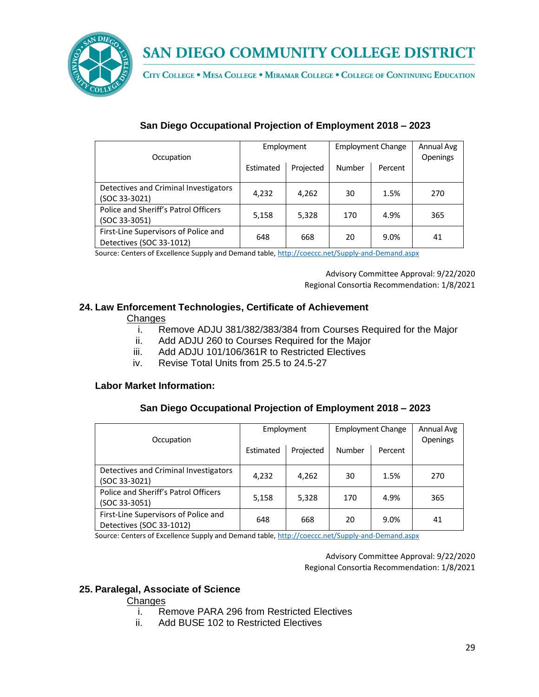

CITY COLLEGE . MESA COLLEGE . MIRAMAR COLLEGE . COLLEGE OF CONTINUING EDUCATION

| Occupation                                                       | Employment |           | <b>Employment Change</b> |         | Annual Avg<br>Openings |
|------------------------------------------------------------------|------------|-----------|--------------------------|---------|------------------------|
|                                                                  | Estimated  | Projected | Number                   | Percent |                        |
| Detectives and Criminal Investigators<br>(SOC 33-3021)           | 4,232      | 4,262     | 30                       | 1.5%    | 270                    |
| Police and Sheriff's Patrol Officers<br>(SOC 33-3051)            | 5,158      | 5,328     | 170                      | 4.9%    | 365                    |
| First-Line Supervisors of Police and<br>Detectives (SOC 33-1012) | 648        | 668       | 20                       | 9.0%    | 41                     |

## **San Diego Occupational Projection of Employment 2018 – 2023**

Source: Centers of Excellence Supply and Demand table, <http://coeccc.net/Supply-and-Demand.aspx>

Advisory Committee Approval: 9/22/2020 Regional Consortia Recommendation: 1/8/2021

## **24. Law Enforcement Technologies, Certificate of Achievement**

#### **Changes**

- i. Remove ADJU 381/382/383/384 from Courses Required for the Major
- ii. Add ADJU 260 to Courses Required for the Major
- iii. Add ADJU 101/106/361R to Restricted Electives
- iv. Revise Total Units from 25.5 to 24.5-27

#### **Labor Market Information:**

#### **San Diego Occupational Projection of Employment 2018 – 2023**

| Occupation                                                       |           | Employment |        | <b>Employment Change</b> |     |
|------------------------------------------------------------------|-----------|------------|--------|--------------------------|-----|
|                                                                  | Estimated | Projected  | Number | Percent                  |     |
| Detectives and Criminal Investigators<br>(SOC 33-3021)           | 4,232     | 4,262      | 30     | 1.5%                     | 270 |
| Police and Sheriff's Patrol Officers<br>(SOC 33-3051)            | 5,158     | 5,328      | 170    | 4.9%                     | 365 |
| First-Line Supervisors of Police and<br>Detectives (SOC 33-1012) | 648       | 668        | 20     | 9.0%                     | 41  |

Source: Centers of Excellence Supply and Demand table, <http://coeccc.net/Supply-and-Demand.aspx>

Advisory Committee Approval: 9/22/2020 Regional Consortia Recommendation: 1/8/2021

#### **25. Paralegal, Associate of Science**

#### **Changes**

- i. Remove PARA 296 from Restricted Electives
- ii. Add BUSE 102 to Restricted Electives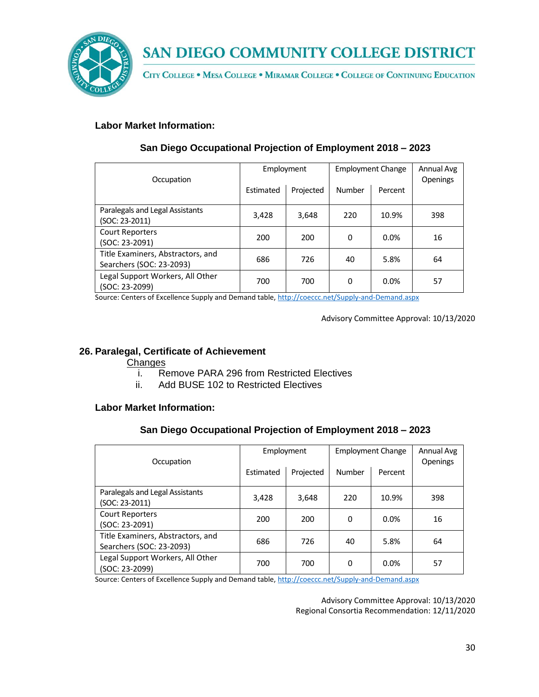

CITY COLLEGE . MESA COLLEGE . MIRAMAR COLLEGE . COLLEGE OF CONTINUING EDUCATION

## **Labor Market Information:**

| Occupation                                                    | Employment |           | <b>Employment Change</b> |         | Annual Avg<br>Openings |
|---------------------------------------------------------------|------------|-----------|--------------------------|---------|------------------------|
|                                                               | Estimated  | Projected | Number                   | Percent |                        |
| Paralegals and Legal Assistants<br>(SOC: 23-2011)             | 3,428      | 3,648     | 220                      | 10.9%   | 398                    |
| <b>Court Reporters</b><br>(SOC: 23-2091)                      | 200        | 200       | 0                        | 0.0%    | 16                     |
| Title Examiners, Abstractors, and<br>Searchers (SOC: 23-2093) | 686        | 726       | 40                       | 5.8%    | 64                     |
| Legal Support Workers, All Other<br>(SOC: 23-2099)            | 700        | 700       | 0                        | 0.0%    | 57                     |

## **San Diego Occupational Projection of Employment 2018 – 2023**

Source: Centers of Excellence Supply and Demand table, <http://coeccc.net/Supply-and-Demand.aspx>

Advisory Committee Approval: 10/13/2020

## **26. Paralegal, Certificate of Achievement**

#### **Changes**

- i. Remove PARA 296 from Restricted Electives
- ii. Add BUSE 102 to Restricted Electives

#### **Labor Market Information:**

## **San Diego Occupational Projection of Employment 2018 – 2023**

| Occupation                                                    | Employment |           | <b>Employment Change</b> | Annual Avg<br><b>Openings</b> |     |
|---------------------------------------------------------------|------------|-----------|--------------------------|-------------------------------|-----|
|                                                               | Estimated  | Projected | Number                   | Percent                       |     |
| Paralegals and Legal Assistants<br>(SOC: 23-2011)             | 3,428      | 3,648     | 220                      | 10.9%                         | 398 |
| <b>Court Reporters</b><br>(SOC: 23-2091)                      | 200        | 200       | 0                        | 0.0%                          | 16  |
| Title Examiners, Abstractors, and<br>Searchers (SOC: 23-2093) | 686        | 726       | 40                       | 5.8%                          | 64  |
| Legal Support Workers, All Other<br>(SOC: 23-2099)            | 700        | 700       | 0                        | 0.0%                          | 57  |

Source: Centers of Excellence Supply and Demand table, <http://coeccc.net/Supply-and-Demand.aspx>

Advisory Committee Approval: 10/13/2020 Regional Consortia Recommendation: 12/11/2020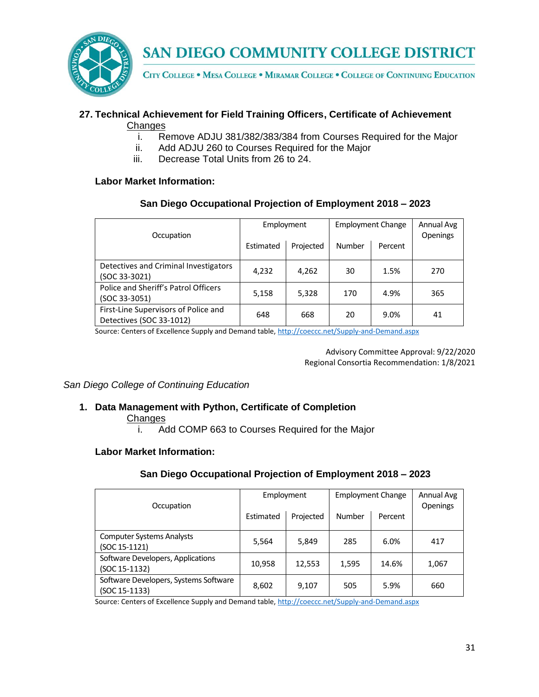

CITY COLLEGE . MESA COLLEGE . MIRAMAR COLLEGE . COLLEGE OF CONTINUING EDUCATION

## **27. Technical Achievement for Field Training Officers, Certificate of Achievement**

- **Changes** 
	- i. Remove ADJU 381/382/383/384 from Courses Required for the Major
	- ii. Add ADJU 260 to Courses Required for the Major
	- iii. Decrease Total Units from 26 to 24.

#### **Labor Market Information:**

#### **San Diego Occupational Projection of Employment 2018 – 2023**

| Occupation                                                       | Employment |           | <b>Employment Change</b> |         | Annual Avg<br><b>Openings</b> |
|------------------------------------------------------------------|------------|-----------|--------------------------|---------|-------------------------------|
|                                                                  | Estimated  | Projected | Number                   | Percent |                               |
| Detectives and Criminal Investigators<br>(SOC 33-3021)           | 4,232      | 4,262     | 30                       | 1.5%    | 270                           |
| Police and Sheriff's Patrol Officers<br>$(SOC 33-3051)$          | 5,158      | 5,328     | 170                      | 4.9%    | 365                           |
| First-Line Supervisors of Police and<br>Detectives (SOC 33-1012) | 648        | 668       | 20                       | 9.0%    | 41                            |

Source: Centers of Excellence Supply and Demand table, <http://coeccc.net/Supply-and-Demand.aspx>

Advisory Committee Approval: 9/22/2020 Regional Consortia Recommendation: 1/8/2021

*San Diego College of Continuing Education*

## **1. Data Management with Python, Certificate of Completion**

**Changes** 

i. Add COMP 663 to Courses Required for the Major

## **Labor Market Information:**

## **San Diego Occupational Projection of Employment 2018 – 2023**

| Occupation                                             | Employment |           |        | <b>Employment Change</b> | Annual Avg<br>Openings |
|--------------------------------------------------------|------------|-----------|--------|--------------------------|------------------------|
|                                                        | Estimated  | Projected | Number | Percent                  |                        |
| <b>Computer Systems Analysts</b><br>(SOC 15-1121)      | 5,564      | 5,849     | 285    | 6.0%                     | 417                    |
| Software Developers, Applications<br>(SOC 15-1132)     | 10,958     | 12,553    | 1,595  | 14.6%                    | 1,067                  |
| Software Developers, Systems Software<br>(SOC 15-1133) | 8,602      | 9,107     | 505    | 5.9%                     | 660                    |

Source: Centers of Excellence Supply and Demand table, <http://coeccc.net/Supply-and-Demand.aspx>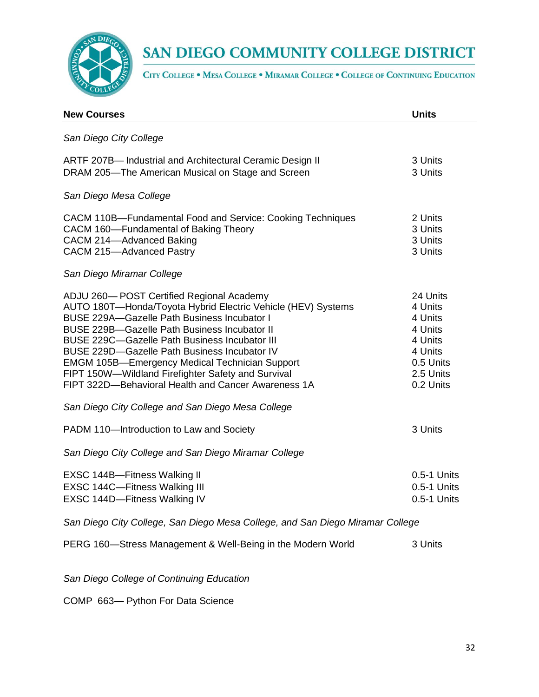

CITY COLLEGE . MESA COLLEGE . MIRAMAR COLLEGE . COLLEGE OF CONTINUING EDUCATION

| <b>New Courses</b>                                                                                                                                                                                                                                                                                                                                                                                                                                                                                  | <b>Units</b>                                                                                           |  |
|-----------------------------------------------------------------------------------------------------------------------------------------------------------------------------------------------------------------------------------------------------------------------------------------------------------------------------------------------------------------------------------------------------------------------------------------------------------------------------------------------------|--------------------------------------------------------------------------------------------------------|--|
| San Diego City College                                                                                                                                                                                                                                                                                                                                                                                                                                                                              |                                                                                                        |  |
| ARTF 207B-Industrial and Architectural Ceramic Design II<br>DRAM 205-The American Musical on Stage and Screen                                                                                                                                                                                                                                                                                                                                                                                       | 3 Units<br>3 Units                                                                                     |  |
| San Diego Mesa College                                                                                                                                                                                                                                                                                                                                                                                                                                                                              |                                                                                                        |  |
| CACM 110B-Fundamental Food and Service: Cooking Techniques<br>CACM 160-Fundamental of Baking Theory<br>CACM 214-Advanced Baking<br>CACM 215-Advanced Pastry                                                                                                                                                                                                                                                                                                                                         | 2 Units<br>3 Units<br>3 Units<br>3 Units                                                               |  |
| San Diego Miramar College                                                                                                                                                                                                                                                                                                                                                                                                                                                                           |                                                                                                        |  |
| ADJU 260-POST Certified Regional Academy<br>AUTO 180T-Honda/Toyota Hybrid Electric Vehicle (HEV) Systems<br><b>BUSE 229A-Gazelle Path Business Incubator I</b><br><b>BUSE 229B-Gazelle Path Business Incubator II</b><br>BUSE 229C-Gazelle Path Business Incubator III<br><b>BUSE 229D-Gazelle Path Business Incubator IV</b><br><b>EMGM 105B-Emergency Medical Technician Support</b><br>FIPT 150W-Wildland Firefighter Safety and Survival<br>FIPT 322D-Behavioral Health and Cancer Awareness 1A | 24 Units<br>4 Units<br>4 Units<br>4 Units<br>4 Units<br>4 Units<br>0.5 Units<br>2.5 Units<br>0.2 Units |  |
| San Diego City College and San Diego Mesa College                                                                                                                                                                                                                                                                                                                                                                                                                                                   |                                                                                                        |  |
| PADM 110-Introduction to Law and Society                                                                                                                                                                                                                                                                                                                                                                                                                                                            | 3 Units                                                                                                |  |
| San Diego City College and San Diego Miramar College                                                                                                                                                                                                                                                                                                                                                                                                                                                |                                                                                                        |  |
| EXSC 144B-Fitness Walking II<br>EXSC 144C-Fitness Walking III<br>EXSC 144D-Fitness Walking IV                                                                                                                                                                                                                                                                                                                                                                                                       | 0.5-1 Units<br>0.5-1 Units<br>0.5-1 Units                                                              |  |
| San Diego City College, San Diego Mesa College, and San Diego Miramar College                                                                                                                                                                                                                                                                                                                                                                                                                       |                                                                                                        |  |
| PERG 160—Stress Management & Well-Being in the Modern World                                                                                                                                                                                                                                                                                                                                                                                                                                         | 3 Units                                                                                                |  |

*San Diego College of Continuing Education*

COMP 663— Python For Data Science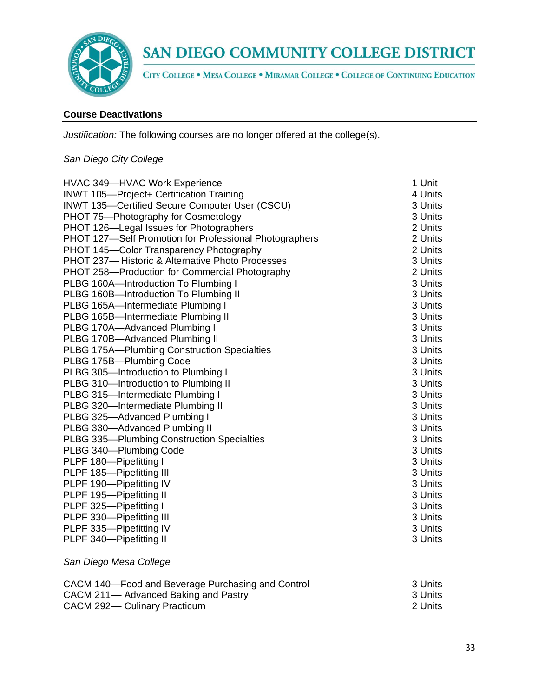

CITY COLLEGE . MESA COLLEGE . MIRAMAR COLLEGE . COLLEGE OF CONTINUING EDUCATION

#### **Course Deactivations**

*Justification:* The following courses are no longer offered at the college(s).

## *San Diego City College*

| HVAC 349-HVAC Work Experience                          | 1 Unit  |
|--------------------------------------------------------|---------|
| INWT 105-Project+ Certification Training               | 4 Units |
| INWT 135-Certified Secure Computer User (CSCU)         | 3 Units |
| PHOT 75-Photography for Cosmetology                    | 3 Units |
| PHOT 126-Legal Issues for Photographers                | 2 Units |
| PHOT 127-Self Promotion for Professional Photographers | 2 Units |
| PHOT 145-Color Transparency Photography                | 2 Units |
| PHOT 237-Historic & Alternative Photo Processes        | 3 Units |
| PHOT 258-Production for Commercial Photography         | 2 Units |
| PLBG 160A-Introduction To Plumbing I                   | 3 Units |
| PLBG 160B-Introduction To Plumbing II                  | 3 Units |
| PLBG 165A-Intermediate Plumbing I                      | 3 Units |
| PLBG 165B-Intermediate Plumbing II                     | 3 Units |
| PLBG 170A-Advanced Plumbing I                          | 3 Units |
| PLBG 170B-Advanced Plumbing II                         | 3 Units |
| <b>PLBG 175A-Plumbing Construction Specialties</b>     | 3 Units |
| PLBG 175B-Plumbing Code                                | 3 Units |
| PLBG 305-Introduction to Plumbing I                    | 3 Units |
| PLBG 310-Introduction to Plumbing II                   | 3 Units |
| PLBG 315-Intermediate Plumbing I                       | 3 Units |
| PLBG 320-Intermediate Plumbing II                      | 3 Units |
| PLBG 325-Advanced Plumbing I                           | 3 Units |
| PLBG 330-Advanced Plumbing II                          | 3 Units |
| PLBG 335-Plumbing Construction Specialties             | 3 Units |
| PLBG 340-Plumbing Code                                 | 3 Units |
| PLPF 180-Pipefitting I                                 | 3 Units |
| PLPF 185-Pipefitting III                               | 3 Units |
| PLPF 190-Pipefitting IV                                | 3 Units |
| PLPF 195-Pipefitting II                                | 3 Units |
| PLPF 325-Pipefitting I                                 | 3 Units |
| PLPF 330-Pipefitting III                               | 3 Units |
| PLPF 335-Pipefitting IV                                | 3 Units |
| PLPF 340-Pipefitting II                                | 3 Units |

#### *San Diego Mesa College*

| CACM 140-Food and Beverage Purchasing and Control | - 3 Units            |  |
|---------------------------------------------------|----------------------|--|
| CACM 211— Advanced Baking and Pastry              | - 3 Units<br>2 Units |  |
| CACM 292-Culinary Practicum                       |                      |  |